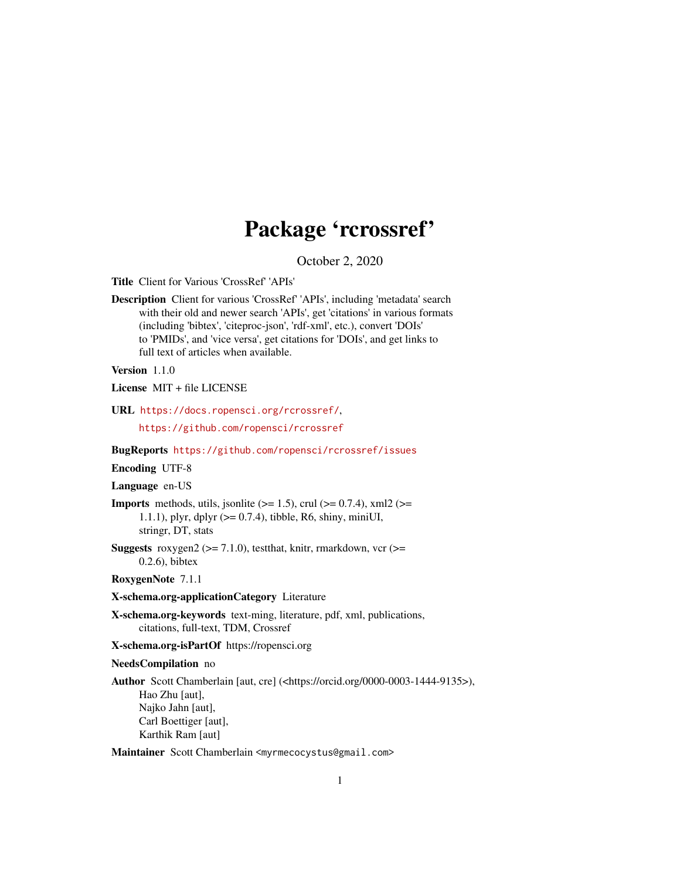# Package 'rcrossref'

October 2, 2020

<span id="page-0-0"></span>Title Client for Various 'CrossRef' 'APIs'

Description Client for various 'CrossRef' 'APIs', including 'metadata' search with their old and newer search 'APIs', get 'citations' in various formats (including 'bibtex', 'citeproc-json', 'rdf-xml', etc.), convert 'DOIs' to 'PMIDs', and 'vice versa', get citations for 'DOIs', and get links to full text of articles when available.

Version 1.1.0

License MIT + file LICENSE

URL <https://docs.ropensci.org/rcrossref/>,

<https://github.com/ropensci/rcrossref>

#### BugReports <https://github.com/ropensci/rcrossref/issues>

# Encoding UTF-8

Language en-US

**Imports** methods, utils, jsonlite  $(>= 1.5)$ , crul  $(>= 0.7.4)$ , xml2  $(>= 1.5)$ 1.1.1), plyr, dplyr (>= 0.7.4), tibble, R6, shiny, miniUI, stringr, DT, stats

**Suggests** roxygen2 ( $>= 7.1.0$ ), testthat, knitr, rmarkdown, vcr ( $>=$ 0.2.6), bibtex

#### RoxygenNote 7.1.1

### X-schema.org-applicationCategory Literature

X-schema.org-keywords text-ming, literature, pdf, xml, publications, citations, full-text, TDM, Crossref

X-schema.org-isPartOf https://ropensci.org

#### NeedsCompilation no

Author Scott Chamberlain [aut, cre] (<https://orcid.org/0000-0003-1444-9135>), Hao Zhu [aut], Najko Jahn [aut], Carl Boettiger [aut], Karthik Ram [aut]

Maintainer Scott Chamberlain <myrmecocystus@gmail.com>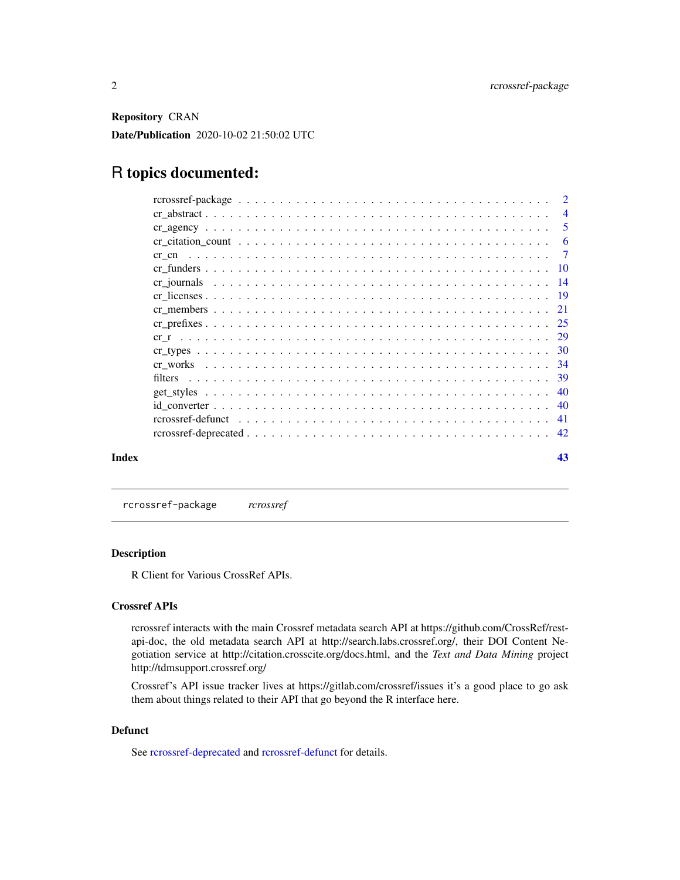<span id="page-1-0"></span>Repository CRAN

Date/Publication 2020-10-02 21:50:02 UTC

# R topics documented:

|       |         |  |  |  |  |  |  |  |  |  |  |  |  |  | $\overline{2}$  |
|-------|---------|--|--|--|--|--|--|--|--|--|--|--|--|--|-----------------|
|       |         |  |  |  |  |  |  |  |  |  |  |  |  |  | $\overline{4}$  |
|       |         |  |  |  |  |  |  |  |  |  |  |  |  |  | 5               |
|       |         |  |  |  |  |  |  |  |  |  |  |  |  |  | -6              |
|       |         |  |  |  |  |  |  |  |  |  |  |  |  |  | $\overline{7}$  |
|       |         |  |  |  |  |  |  |  |  |  |  |  |  |  |                 |
|       |         |  |  |  |  |  |  |  |  |  |  |  |  |  | $\overline{14}$ |
|       |         |  |  |  |  |  |  |  |  |  |  |  |  |  |                 |
|       |         |  |  |  |  |  |  |  |  |  |  |  |  |  |                 |
|       |         |  |  |  |  |  |  |  |  |  |  |  |  |  |                 |
|       |         |  |  |  |  |  |  |  |  |  |  |  |  |  |                 |
|       |         |  |  |  |  |  |  |  |  |  |  |  |  |  |                 |
|       |         |  |  |  |  |  |  |  |  |  |  |  |  |  |                 |
|       | filters |  |  |  |  |  |  |  |  |  |  |  |  |  |                 |
|       |         |  |  |  |  |  |  |  |  |  |  |  |  |  |                 |
|       |         |  |  |  |  |  |  |  |  |  |  |  |  |  | 40              |
|       |         |  |  |  |  |  |  |  |  |  |  |  |  |  |                 |
|       |         |  |  |  |  |  |  |  |  |  |  |  |  |  |                 |
| Index |         |  |  |  |  |  |  |  |  |  |  |  |  |  | 43              |

rcrossref-package *rcrossref*

#### <span id="page-1-1"></span>Description

R Client for Various CrossRef APIs.

# Crossref APIs

rcrossref interacts with the main Crossref metadata search API at https://github.com/CrossRef/restapi-doc, the old metadata search API at http://search.labs.crossref.org/, their DOI Content Negotiation service at http://citation.crosscite.org/docs.html, and the *Text and Data Mining* project http://tdmsupport.crossref.org/

Crossref's API issue tracker lives at https://gitlab.com/crossref/issues it's a good place to go ask them about things related to their API that go beyond the R interface here.

# Defunct

See [rcrossref-deprecated](#page-41-1) and [rcrossref-defunct](#page-40-1) for details.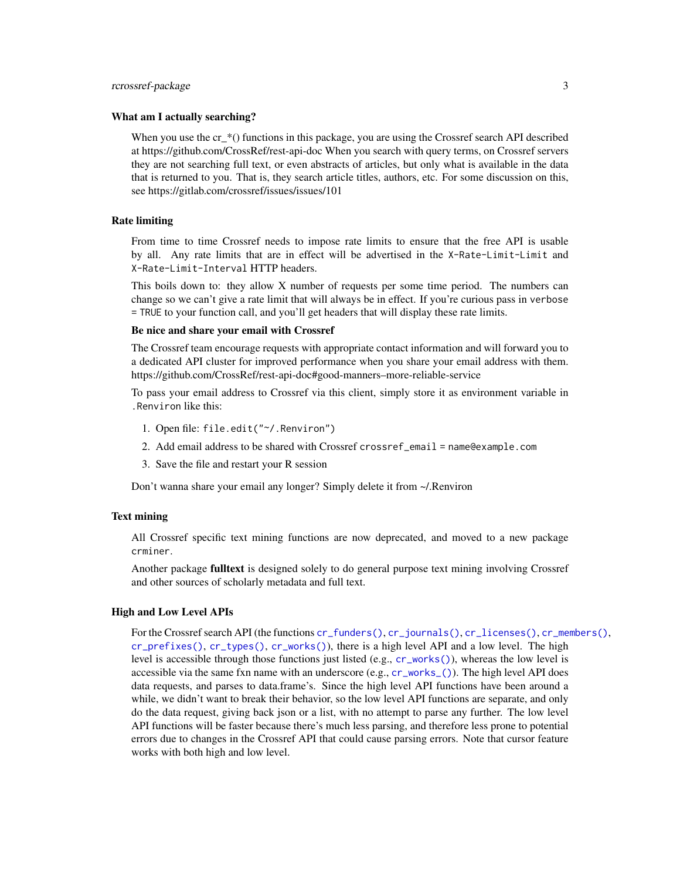#### <span id="page-2-0"></span>rcrossref-package 3

#### What am I actually searching?

When you use the  $cr$ <sup>\*</sup>() functions in this package, you are using the Crossref search API described at https://github.com/CrossRef/rest-api-doc When you search with query terms, on Crossref servers they are not searching full text, or even abstracts of articles, but only what is available in the data that is returned to you. That is, they search article titles, authors, etc. For some discussion on this, see https://gitlab.com/crossref/issues/issues/101

# Rate limiting

From time to time Crossref needs to impose rate limits to ensure that the free API is usable by all. Any rate limits that are in effect will be advertised in the X-Rate-Limit-Limit and X-Rate-Limit-Interval HTTP headers.

This boils down to: they allow X number of requests per some time period. The numbers can change so we can't give a rate limit that will always be in effect. If you're curious pass in verbose = TRUE to your function call, and you'll get headers that will display these rate limits.

#### Be nice and share your email with Crossref

The Crossref team encourage requests with appropriate contact information and will forward you to a dedicated API cluster for improved performance when you share your email address with them. https://github.com/CrossRef/rest-api-doc#good-manners–more-reliable-service

To pass your email address to Crossref via this client, simply store it as environment variable in .Renviron like this:

- 1. Open file: file.edit("~/.Renviron")
- 2. Add email address to be shared with Crossref crossref\_email = name@example.com
- 3. Save the file and restart your R session

Don't wanna share your email any longer? Simply delete it from ~/.Renviron

#### Text mining

All Crossref specific text mining functions are now deprecated, and moved to a new package crminer.

Another package fulltext is designed solely to do general purpose text mining involving Crossref and other sources of scholarly metadata and full text.

#### High and Low Level APIs

For the Crossref search API (the functions [cr\\_funders\(\)](#page-9-1), [cr\\_journals\(\)](#page-13-1), [cr\\_licenses\(\)](#page-18-1), [cr\\_members\(\)](#page-20-1), [cr\\_prefixes\(\)](#page-24-1), [cr\\_types\(\)](#page-29-1), [cr\\_works\(\)](#page-33-1)), there is a high level API and a low level. The high level is accessible through those functions just listed (e.g., [cr\\_works\(\)](#page-33-1)), whereas the low level is accessible via the same fxn name with an underscore (e.g., [cr\\_works\\_\(\)](#page-33-2)). The high level API does data requests, and parses to data.frame's. Since the high level API functions have been around a while, we didn't want to break their behavior, so the low level API functions are separate, and only do the data request, giving back json or a list, with no attempt to parse any further. The low level API functions will be faster because there's much less parsing, and therefore less prone to potential errors due to changes in the Crossref API that could cause parsing errors. Note that cursor feature works with both high and low level.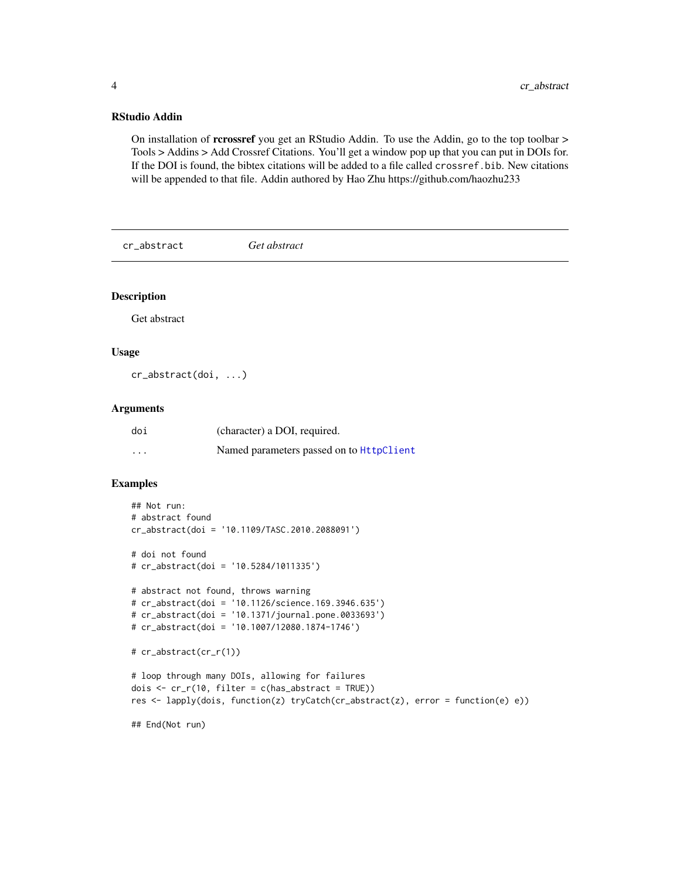### <span id="page-3-0"></span>RStudio Addin

On installation of rcrossref you get an RStudio Addin. To use the Addin, go to the top toolbar > Tools > Addins > Add Crossref Citations. You'll get a window pop up that you can put in DOIs for. If the DOI is found, the bibtex citations will be added to a file called crossref.bib. New citations will be appended to that file. Addin authored by Hao Zhu https://github.com/haozhu233

cr\_abstract *Get abstract*

#### Description

Get abstract

#### Usage

cr\_abstract(doi, ...)

# Arguments

| doi      | (character) a DOI, required.                    |
|----------|-------------------------------------------------|
| $\cdots$ | Named parameters passed on to <b>HttpClient</b> |

```
## Not run:
# abstract found
cr_abstract(doi = '10.1109/TASC.2010.2088091')
# doi not found
# cr_abstract(doi = '10.5284/1011335')
# abstract not found, throws warning
# cr_abstract(doi = '10.1126/science.169.3946.635')
# cr_abstract(doi = '10.1371/journal.pone.0033693')
# cr_abstract(doi = '10.1007/12080.1874-1746')
# cr_abstract(cr_r(1))
# loop through many DOIs, allowing for failures
dois \leq cr_r(10, filter = c(has_abstract = TRUE))
res <- lapply(dois, function(z) tryCatch(cr_abstract(z), error = function(e) e))
## End(Not run)
```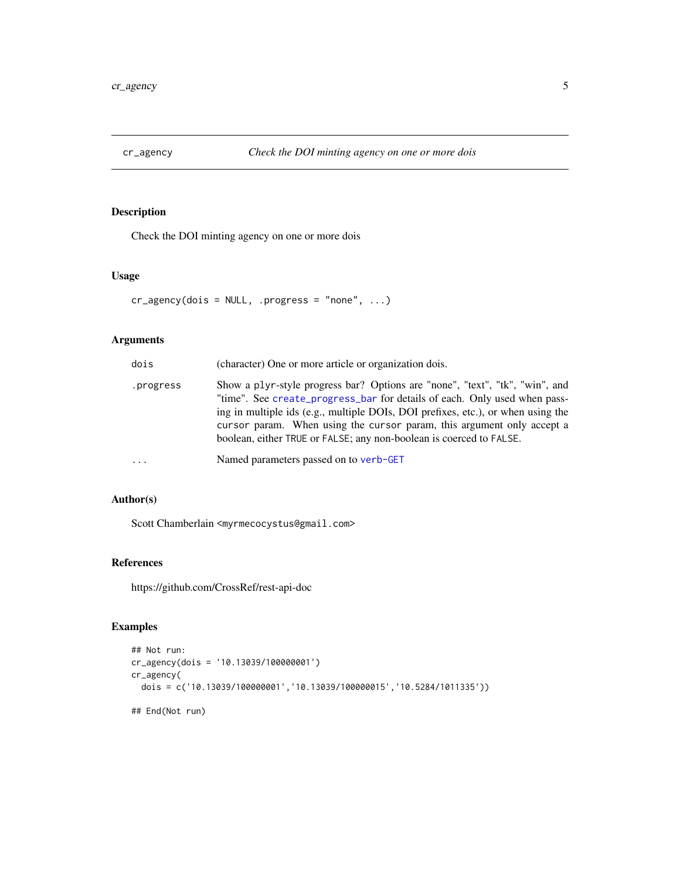<span id="page-4-1"></span><span id="page-4-0"></span>

# Description

Check the DOI minting agency on one or more dois

#### Usage

```
cr_agency(dois = NULL, .progress = "none", ...)
```
# Arguments

| dois      | (character) One or more article or organization dois.                                                                                                                                                                                                                                                                                                                                          |
|-----------|------------------------------------------------------------------------------------------------------------------------------------------------------------------------------------------------------------------------------------------------------------------------------------------------------------------------------------------------------------------------------------------------|
| .progress | Show a plyr-style progress bar? Options are "none", "text", "tk", "win", and<br>"time". See create_progress_bar for details of each. Only used when pass-<br>ing in multiple ids (e.g., multiple DOIs, DOI prefixes, etc.), or when using the<br>cursor param. When using the cursor param, this argument only accept a<br>boolean, either TRUE or FALSE; any non-boolean is coerced to FALSE. |
| $\ddotsc$ | Named parameters passed on to verb-GET                                                                                                                                                                                                                                                                                                                                                         |

# Author(s)

Scott Chamberlain <myrmecocystus@gmail.com>

# References

https://github.com/CrossRef/rest-api-doc

```
## Not run:
cr_agency(dois = '10.13039/100000001')
cr_agency(
 dois = c('10.13039/100000001','10.13039/100000015','10.5284/1011335'))
## End(Not run)
```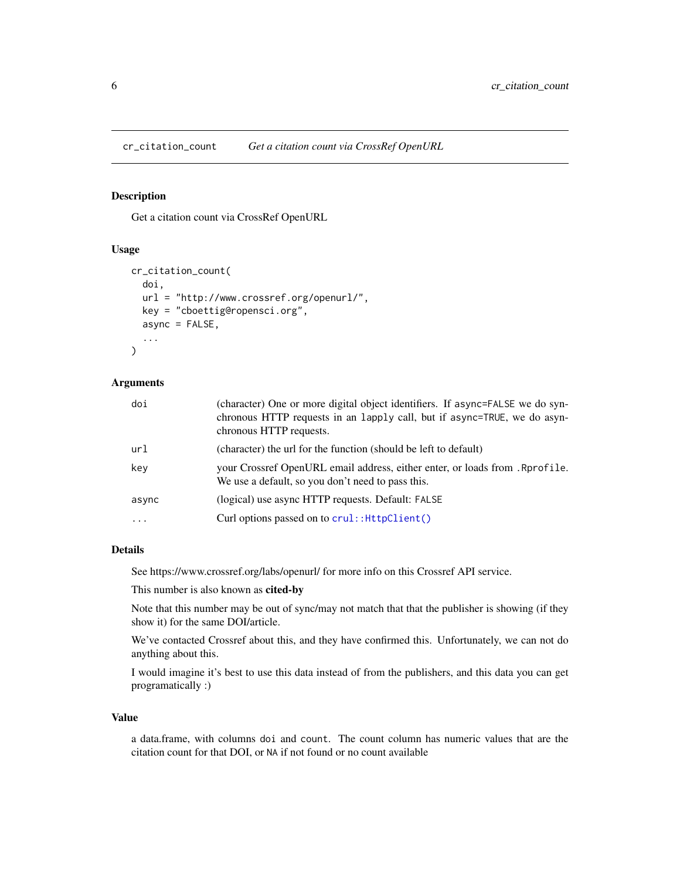<span id="page-5-0"></span>cr\_citation\_count *Get a citation count via CrossRef OpenURL*

# Description

Get a citation count via CrossRef OpenURL

#### Usage

```
cr_citation_count(
  doi,
  url = "http://www.crossref.org/openurl/",
  key = "cboettig@ropensci.org",
  async = FALSE,
  ...
\mathcal{L}
```
#### Arguments

| doi       | (character) One or more digital object identifiers. If async=FALSE we do syn-<br>chronous HTTP requests in an lapply call, but if async=TRUE, we do asyn-<br>chronous HTTP requests. |
|-----------|--------------------------------------------------------------------------------------------------------------------------------------------------------------------------------------|
| url       | (character) the url for the function (should be left to default)                                                                                                                     |
| key       | your Crossref OpenURL email address, either enter, or loads from . Rprofile.<br>We use a default, so you don't need to pass this.                                                    |
| async     | (logical) use async HTTP requests. Default: FALSE                                                                                                                                    |
| $\ddotsc$ | Curl options passed on to crul:: HttpClient()                                                                                                                                        |

# Details

See https://www.crossref.org/labs/openurl/ for more info on this Crossref API service.

This number is also known as cited-by

Note that this number may be out of sync/may not match that that the publisher is showing (if they show it) for the same DOI/article.

We've contacted Crossref about this, and they have confirmed this. Unfortunately, we can not do anything about this.

I would imagine it's best to use this data instead of from the publishers, and this data you can get programatically :)

#### Value

a data.frame, with columns doi and count. The count column has numeric values that are the citation count for that DOI, or NA if not found or no count available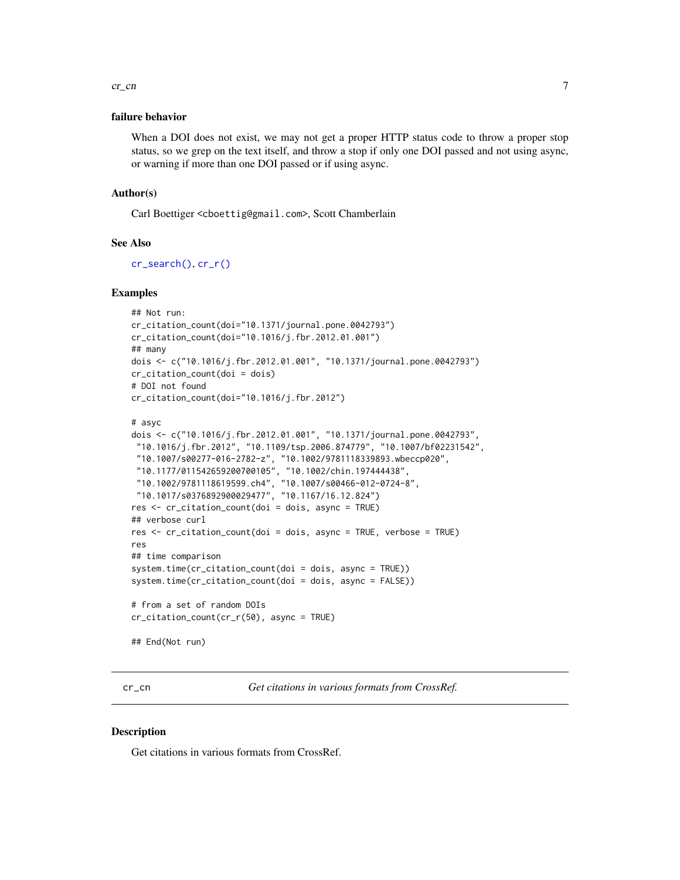#### <span id="page-6-0"></span> $cr\_cn$  7

#### failure behavior

When a DOI does not exist, we may not get a proper HTTP status code to throw a proper stop status, so we grep on the text itself, and throw a stop if only one DOI passed and not using async, or warning if more than one DOI passed or if using async.

#### Author(s)

Carl Boettiger <cboettig@gmail.com>, Scott Chamberlain

#### See Also

[cr\\_search\(\)](#page-0-0), [cr\\_r\(\)](#page-28-1)

#### Examples

```
## Not run:
cr_citation_count(doi="10.1371/journal.pone.0042793")
cr_citation_count(doi="10.1016/j.fbr.2012.01.001")
## many
dois <- c("10.1016/j.fbr.2012.01.001", "10.1371/journal.pone.0042793")
cr_citation_count(doi = dois)
# DOI not found
cr_citation_count(doi="10.1016/j.fbr.2012")
```

```
# asyc
dois <- c("10.1016/j.fbr.2012.01.001", "10.1371/journal.pone.0042793",
"10.1016/j.fbr.2012", "10.1109/tsp.2006.874779", "10.1007/bf02231542",
"10.1007/s00277-016-2782-z", "10.1002/9781118339893.wbeccp020",
 "10.1177/011542659200700105", "10.1002/chin.197444438",
 "10.1002/9781118619599.ch4", "10.1007/s00466-012-0724-8",
 "10.1017/s0376892900029477", "10.1167/16.12.824")
res <- cr_citation_count(doi = dois, async = TRUE)
## verbose curl
res <- cr_citation_count(doi = dois, async = TRUE, verbose = TRUE)
res
## time comparison
system.time(cr_citation_count(doi = dois, async = TRUE))
system.time(cr_citation_count(doi = dois, async = FALSE))
# from a set of random DOIs
cr_citation_count(cr_r(50), async = TRUE)
```
## End(Not run)

<span id="page-6-1"></span>cr\_cn *Get citations in various formats from CrossRef.*

#### **Description**

Get citations in various formats from CrossRef.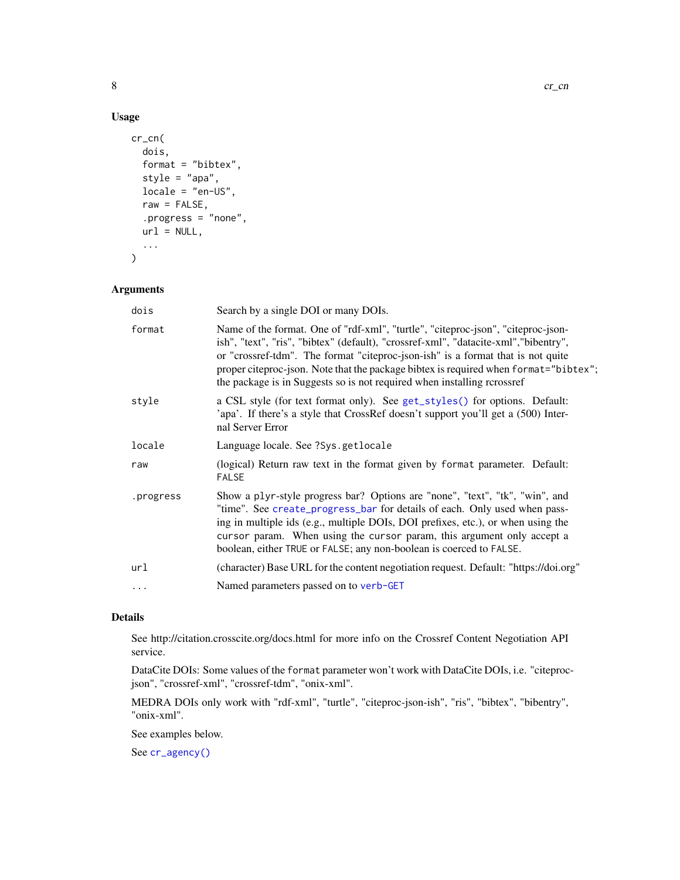# Usage

```
cr_cn(
  dois,
  format = "bibtex",
  style = "apa",
 locale = "en-US",
  raw = FALSE,
  .progress = "none",
 url = NULL,...
)
```
# Arguments

| dois      | Search by a single DOI or many DOIs.                                                                                                                                                                                                                                                                                                                                                                                           |
|-----------|--------------------------------------------------------------------------------------------------------------------------------------------------------------------------------------------------------------------------------------------------------------------------------------------------------------------------------------------------------------------------------------------------------------------------------|
| format    | Name of the format. One of "rdf-xml", "turtle", "citeproc-json", "citeproc-json-<br>ish", "text", "ris", "bibtex" (default), "crossref-xml", "datacite-xml", "bibentry",<br>or "crossref-tdm". The format "citeproc-json-ish" is a format that is not quite<br>proper citeproc-json. Note that the package bibtex is required when format="bibtex";<br>the package is in Suggests so is not required when installing rcrossref |
| style     | a CSL style (for text format only). See get_styles() for options. Default:<br>'apa'. If there's a style that CrossRef doesn't support you'll get a (500) Inter-<br>nal Server Error                                                                                                                                                                                                                                            |
| locale    | Language locale. See ?Sys.getlocale                                                                                                                                                                                                                                                                                                                                                                                            |
| raw       | (logical) Return raw text in the format given by format parameter. Default:<br><b>FALSE</b>                                                                                                                                                                                                                                                                                                                                    |
| .progress | Show a plyr-style progress bar? Options are "none", "text", "tk", "win", and<br>"time". See create_progress_bar for details of each. Only used when pass-<br>ing in multiple ids (e.g., multiple DOIs, DOI prefixes, etc.), or when using the<br>cursor param. When using the cursor param, this argument only accept a<br>boolean, either TRUE or FALSE; any non-boolean is coerced to FALSE.                                 |
| url       | (character) Base URL for the content negotiation request. Default: "https://doi.org"                                                                                                                                                                                                                                                                                                                                           |
| .         | Named parameters passed on to verb-GET                                                                                                                                                                                                                                                                                                                                                                                         |

# Details

See http://citation.crosscite.org/docs.html for more info on the Crossref Content Negotiation API service.

DataCite DOIs: Some values of the format parameter won't work with DataCite DOIs, i.e. "citeprocjson", "crossref-xml", "crossref-tdm", "onix-xml".

MEDRA DOIs only work with "rdf-xml", "turtle", "citeproc-json-ish", "ris", "bibtex", "bibentry", "onix-xml".

See examples below.

See [cr\\_agency\(\)](#page-4-1)

<span id="page-7-0"></span>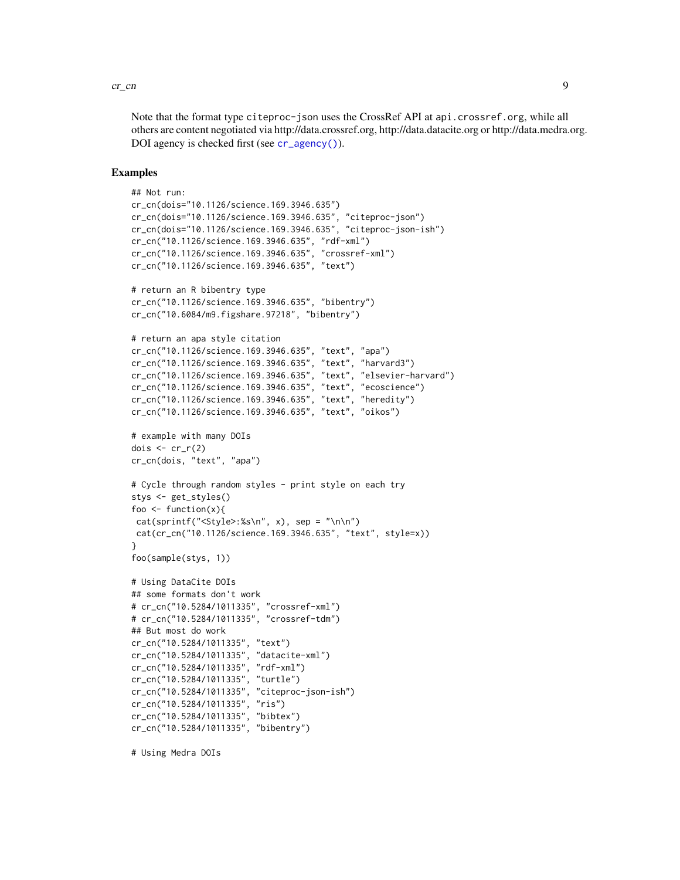#### <span id="page-8-0"></span> $\frac{c}{2}$  cr\_cn  $\frac{9}{2}$

Note that the format type citeproc-json uses the CrossRef API at api.crossref.org, while all others are content negotiated via http://data.crossref.org, http://data.datacite.org or http://data.medra.org. DOI agency is checked first (see [cr\\_agency\(\)](#page-4-1)).

#### Examples

```
## Not run:
cr_cn(dois="10.1126/science.169.3946.635")
cr_cn(dois="10.1126/science.169.3946.635", "citeproc-json")
cr_cn(dois="10.1126/science.169.3946.635", "citeproc-json-ish")
cr_cn("10.1126/science.169.3946.635", "rdf-xml")
cr_cn("10.1126/science.169.3946.635", "crossref-xml")
cr_cn("10.1126/science.169.3946.635", "text")
# return an R bibentry type
cr_cn("10.1126/science.169.3946.635", "bibentry")
cr_cn("10.6084/m9.figshare.97218", "bibentry")
# return an apa style citation
cr_cn("10.1126/science.169.3946.635", "text", "apa")
cr_cn("10.1126/science.169.3946.635", "text", "harvard3")
cr_cn("10.1126/science.169.3946.635", "text", "elsevier-harvard")
cr_cn("10.1126/science.169.3946.635", "text", "ecoscience")
cr_cn("10.1126/science.169.3946.635", "text", "heredity")
cr_cn("10.1126/science.169.3946.635", "text", "oikos")
# example with many DOIs
dois \leq cr_r(2)cr_cn(dois, "text", "apa")
# Cycle through random styles - print style on each try
stys <- get_styles()
foo \le function(x){
 cat(sprint(f''<Style>:\%s\n', x), sep = "\n\n',cat(cr_cn("10.1126/science.169.3946.635", "text", style=x))
}
foo(sample(stys, 1))
# Using DataCite DOIs
## some formats don't work
# cr_cn("10.5284/1011335", "crossref-xml")
# cr_cn("10.5284/1011335", "crossref-tdm")
## But most do work
cr_cn("10.5284/1011335", "text")
cr_cn("10.5284/1011335", "datacite-xml")
cr_cn("10.5284/1011335", "rdf-xml")
cr_cn("10.5284/1011335", "turtle")
cr_cn("10.5284/1011335", "citeproc-json-ish")
cr_cn("10.5284/1011335", "ris")
cr_cn("10.5284/1011335", "bibtex")
cr_cn("10.5284/1011335", "bibentry")
```
# Using Medra DOIs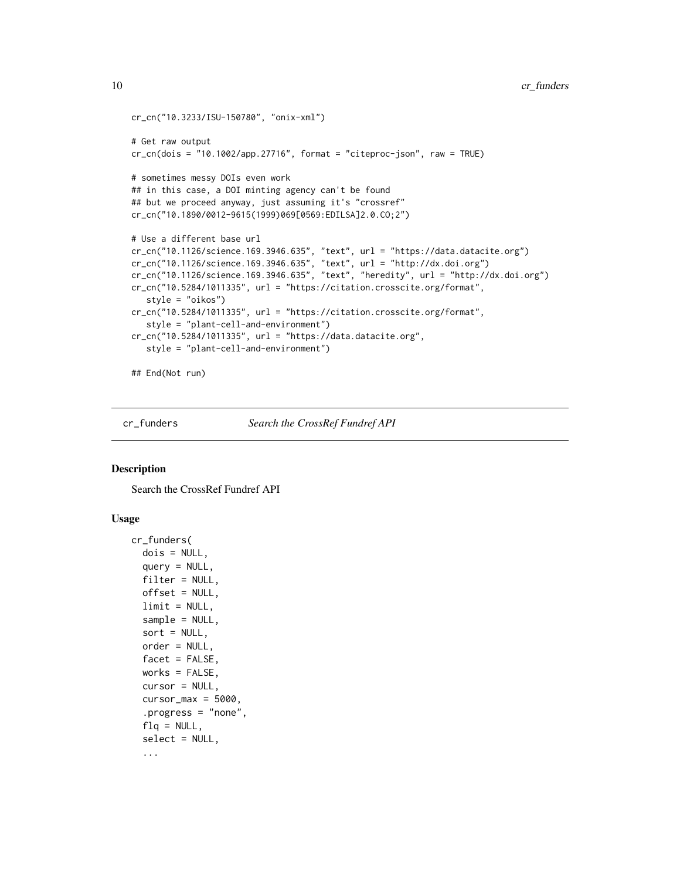```
cr_cn("10.3233/ISU-150780", "onix-xml")
# Get raw output
cr_cn(dois = "10.1002/app.27716", format = "citeproc-json", raw = TRUE)# sometimes messy DOIs even work
## in this case, a DOI minting agency can't be found
## but we proceed anyway, just assuming it's "crossref"
cr_cn("10.1890/0012-9615(1999)069[0569:EDILSA]2.0.CO;2")
# Use a different base url
cr_cn("10.1126/science.169.3946.635", "text", url = "https://data.datacite.org")
cr_cn("10.1126/science.169.3946.635", "text", url = "http://dx.doi.org")
cr_cn("10.1126/science.169.3946.635", "text", "heredity", url = "http://dx.doi.org")
cr_cn("10.5284/1011335", url = "https://citation.crosscite.org/format",
   style = "oikos")
cr_cn("10.5284/1011335", url = "https://citation.crosscite.org/format",
   style = "plant-cell-and-environment")
cr_cn("10.5284/1011335", url = "https://data.datacite.org",
   style = "plant-cell-and-environment")
## End(Not run)
```
<span id="page-9-1"></span>

cr\_funders *Search the CrossRef Fundref API*

#### **Description**

Search the CrossRef Fundref API

#### Usage

```
cr_funders(
  dois = NULL,query = NULL,filter = NULL,
  offset = NULL,
  limit = NULL,sample = NULL,
  sort = NULL,order = NULL,
  facet = FALSE,works = FALSE,
  cursor = NULL,
  cursor_max = 5000,.progress = "none",
  flq = NULL,select = NULL,
  ...
```
<span id="page-9-0"></span>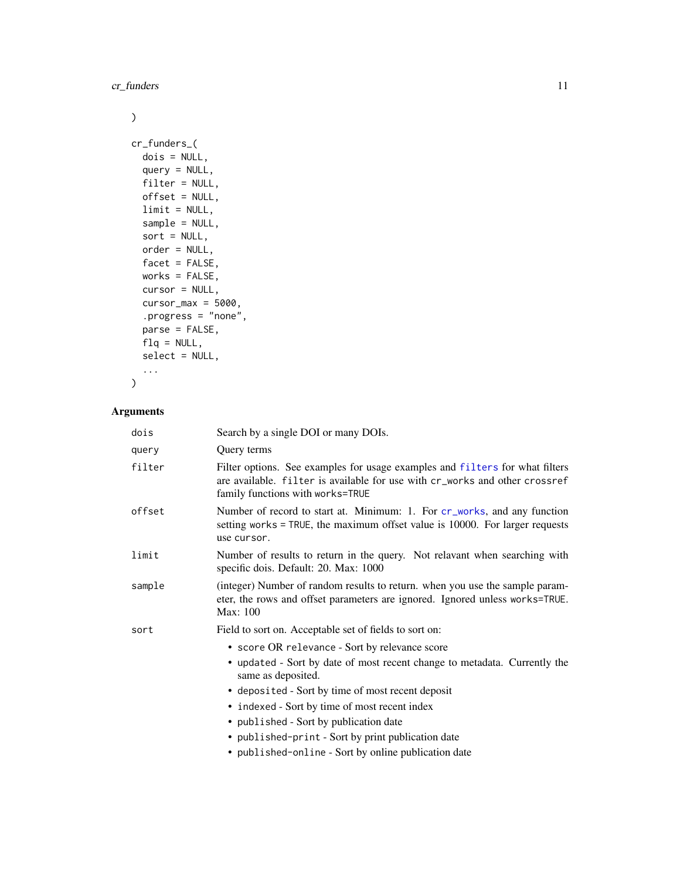<span id="page-10-0"></span>cr\_funders 11

# $\mathcal{L}$

```
cr_funders_(
 dois = NULL,
  query = NULL,
 filter = NULL,
 offset = NULL,
 limit = NULL,
  sample = NULL,
 sort = NULL,order = NULL,
 facet = FALSE,works = FALSE,
 cursor = NULL,
 cursor_max = 5000,.progress = "none",
 parse = FALSE,
 flq = NULL,select = NULL,
  ...
\mathcal{L}
```
# Arguments

| dois   | Search by a single DOI or many DOIs.                                                                                                                                                            |
|--------|-------------------------------------------------------------------------------------------------------------------------------------------------------------------------------------------------|
| query  | Query terms                                                                                                                                                                                     |
| filter | Filter options. See examples for usage examples and filters for what filters<br>are available. filter is available for use with cr_works and other crossref<br>family functions with works=TRUE |
| offset | Number of record to start at. Minimum: 1. For cr_works, and any function<br>setting works = TRUE, the maximum offset value is 10000. For larger requests<br>use cursor.                         |
| limit  | Number of results to return in the query. Not relavant when searching with<br>specific dois. Default: 20. Max: 1000                                                                             |
| sample | (integer) Number of random results to return, when you use the sample param-<br>eter, the rows and offset parameters are ignored. Ignored unless works=TRUE.<br>Max: 100                        |
| sort   | Field to sort on. Acceptable set of fields to sort on:                                                                                                                                          |
|        | • score OR relevance - Sort by relevance score                                                                                                                                                  |
|        | • updated - Sort by date of most recent change to metadata. Currently the<br>same as deposited.                                                                                                 |
|        | • deposited - Sort by time of most recent deposit                                                                                                                                               |
|        | • indexed - Sort by time of most recent index                                                                                                                                                   |
|        | • published - Sort by publication date                                                                                                                                                          |
|        | • published-print - Sort by print publication date                                                                                                                                              |
|        | • published-online - Sort by online publication date                                                                                                                                            |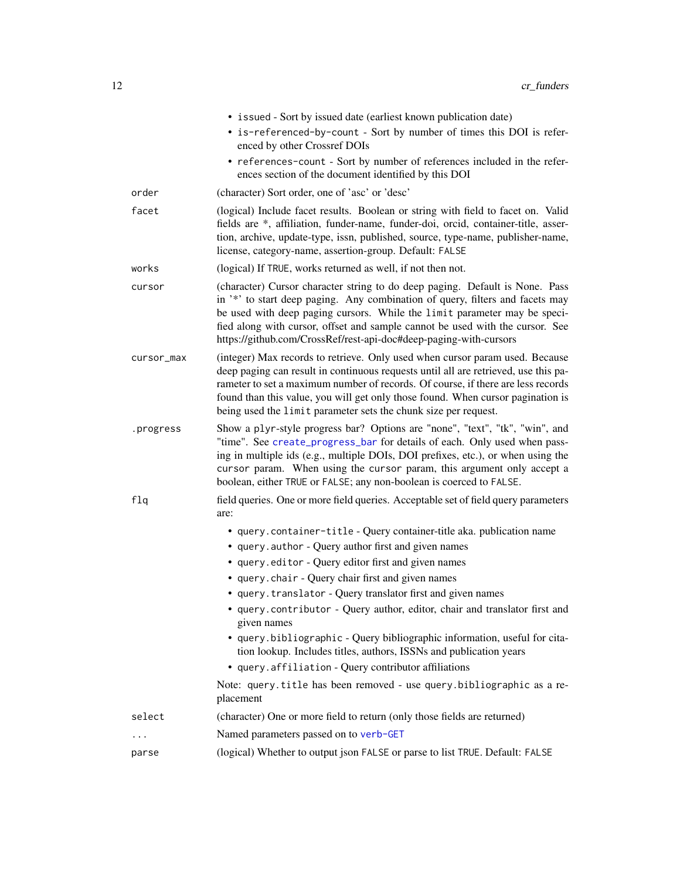<span id="page-11-0"></span>

|            | • issued - Sort by issued date (earliest known publication date)<br>• is-referenced-by-count - Sort by number of times this DOI is refer-<br>enced by other Crossref DOIs<br>• references-count - Sort by number of references included in the refer-<br>ences section of the document identified by this DOI                                                                                                 |
|------------|---------------------------------------------------------------------------------------------------------------------------------------------------------------------------------------------------------------------------------------------------------------------------------------------------------------------------------------------------------------------------------------------------------------|
| order      | (character) Sort order, one of 'asc' or 'desc'                                                                                                                                                                                                                                                                                                                                                                |
| facet      | (logical) Include facet results. Boolean or string with field to facet on. Valid<br>fields are *, affiliation, funder-name, funder-doi, orcid, container-title, asser-<br>tion, archive, update-type, issn, published, source, type-name, publisher-name,<br>license, category-name, assertion-group. Default: FALSE                                                                                          |
| works      | (logical) If TRUE, works returned as well, if not then not.                                                                                                                                                                                                                                                                                                                                                   |
| cursor     | (character) Cursor character string to do deep paging. Default is None. Pass<br>in '*' to start deep paging. Any combination of query, filters and facets may<br>be used with deep paging cursors. While the limit parameter may be speci-<br>fied along with cursor, offset and sample cannot be used with the cursor. See<br>https://github.com/CrossRef/rest-api-doc#deep-paging-with-cursors              |
| cursor_max | (integer) Max records to retrieve. Only used when cursor param used. Because<br>deep paging can result in continuous requests until all are retrieved, use this pa-<br>rameter to set a maximum number of records. Of course, if there are less records<br>found than this value, you will get only those found. When cursor pagination is<br>being used the limit parameter sets the chunk size per request. |
| .progress  | Show a plyr-style progress bar? Options are "none", "text", "tk", "win", and<br>"time". See create_progress_bar for details of each. Only used when pass-<br>ing in multiple ids (e.g., multiple DOIs, DOI prefixes, etc.), or when using the<br>cursor param. When using the cursor param, this argument only accept a<br>boolean, either TRUE or FALSE; any non-boolean is coerced to FALSE.                |
| f1q        | field queries. One or more field queries. Acceptable set of field query parameters<br>are:                                                                                                                                                                                                                                                                                                                    |
|            | • query.container-title - Query container-title aka. publication name                                                                                                                                                                                                                                                                                                                                         |
|            | • query.author - Query author first and given names                                                                                                                                                                                                                                                                                                                                                           |
|            | • query.editor - Query editor first and given names                                                                                                                                                                                                                                                                                                                                                           |
|            | • query.chair - Query chair first and given names                                                                                                                                                                                                                                                                                                                                                             |
|            | • query.translator - Query translator first and given names                                                                                                                                                                                                                                                                                                                                                   |
|            | • query.contributor - Query author, editor, chair and translator first and<br>given names                                                                                                                                                                                                                                                                                                                     |
|            | • query.bibliographic - Query bibliographic information, useful for cita-<br>tion lookup. Includes titles, authors, ISSNs and publication years                                                                                                                                                                                                                                                               |
|            | • query.affiliation - Query contributor affiliations                                                                                                                                                                                                                                                                                                                                                          |
|            | Note: query.title has been removed - use query.bibliographic as a re-<br>placement                                                                                                                                                                                                                                                                                                                            |
| select     | (character) One or more field to return (only those fields are returned)                                                                                                                                                                                                                                                                                                                                      |
| .          | Named parameters passed on to verb-GET                                                                                                                                                                                                                                                                                                                                                                        |
| parse      | (logical) Whether to output json FALSE or parse to list TRUE. Default: FALSE                                                                                                                                                                                                                                                                                                                                  |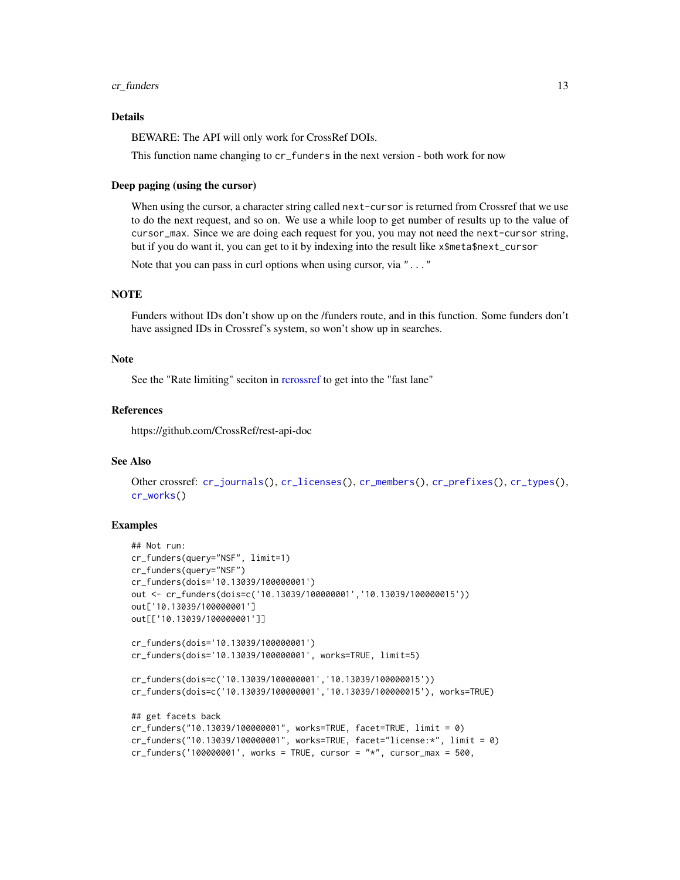#### <span id="page-12-0"></span>cr\_funders 13

# Details

BEWARE: The API will only work for CrossRef DOIs.

This function name changing to cr\_funders in the next version - both work for now

#### Deep paging (using the cursor)

When using the cursor, a character string called next-cursor is returned from Crossref that we use to do the next request, and so on. We use a while loop to get number of results up to the value of cursor\_max. Since we are doing each request for you, you may not need the next-cursor string, but if you do want it, you can get to it by indexing into the result like x\$meta\$next\_cursor

Note that you can pass in curl options when using cursor, via "..."

# **NOTE**

Funders without IDs don't show up on the /funders route, and in this function. Some funders don't have assigned IDs in Crossref's system, so won't show up in searches.

#### Note

See the "Rate limiting" seciton in [rcrossref](#page-1-1) to get into the "fast lane"

# References

https://github.com/CrossRef/rest-api-doc

#### See Also

```
Other crossref: cr_journals(), cr_licenses(), cr_members(), cr_prefixes(), cr_types(),
cr_works()
```

```
## Not run:
cr_funders(query="NSF", limit=1)
cr_funders(query="NSF")
cr_funders(dois='10.13039/100000001')
out <- cr_funders(dois=c('10.13039/100000001','10.13039/100000015'))
out['10.13039/100000001']
out[['10.13039/100000001']]
cr_funders(dois='10.13039/100000001')
cr_funders(dois='10.13039/100000001', works=TRUE, limit=5)
cr_funders(dois=c('10.13039/100000001','10.13039/100000015'))
cr_funders(dois=c('10.13039/100000001','10.13039/100000015'), works=TRUE)
## get facets back
cr_funders("10.13039/100000001", works=TRUE, facet=TRUE, limit = 0)
cr_funders("10.13039/100000001", works=TRUE, facet="license:*", limit = 0)
cr_funders('100000001', works = TRUE, cursor = "*", cursor_max = 500,
```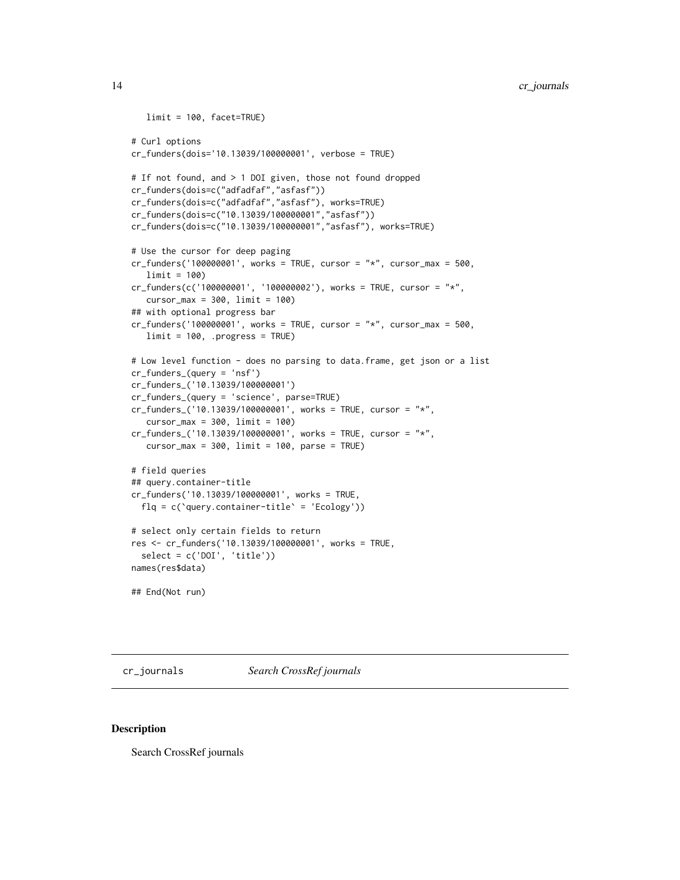```
limit = 100, facet=TRUE)
# Curl options
cr_funders(dois='10.13039/100000001', verbose = TRUE)
# If not found, and > 1 DOI given, those not found dropped
cr_funders(dois=c("adfadfaf","asfasf"))
cr_funders(dois=c("adfadfaf","asfasf"), works=TRUE)
cr_funders(dois=c("10.13039/100000001","asfasf"))
cr_funders(dois=c("10.13039/100000001","asfasf"), works=TRUE)
# Use the cursor for deep paging
cr_funders('100000001', works = TRUE, cursor = "*", cursor_max = 500,limit = 100)
cr_funders(c('100000001', '100000002'), works = TRUE, cursor = "*",
   cursor_max = 300, limit = 100)
## with optional progress bar
cr_funders('100000001', works = TRUE, cursor = "*", cursor_max = 500,limit = 100, .progress = TRUE)
# Low level function - does no parsing to data.frame, get json or a list
cr_funders_(query = 'nsf')
cr_funders_('10.13039/100000001')
cr_funders_(query = 'science', parse=TRUE)
cr_funders_('10.13039/100000001', works = TRUE, cursor = "*",
   cursor_max = 300, limit = 100cr_funders_('10.13039/100000001', works = TRUE, cursor = "*",
   cursor_max = 300, limit = 100, parse = TRUE)
# field queries
## query.container-title
cr_funders('10.13039/100000001', works = TRUE,
  f1q = c('query.contriber-title' = 'Ecology'))# select only certain fields to return
res <- cr_funders('10.13039/100000001', works = TRUE,
  select = c('DOI', 'title'))
names(res$data)
## End(Not run)
```
<span id="page-13-1"></span>cr\_journals *Search CrossRef journals*

#### Description

Search CrossRef journals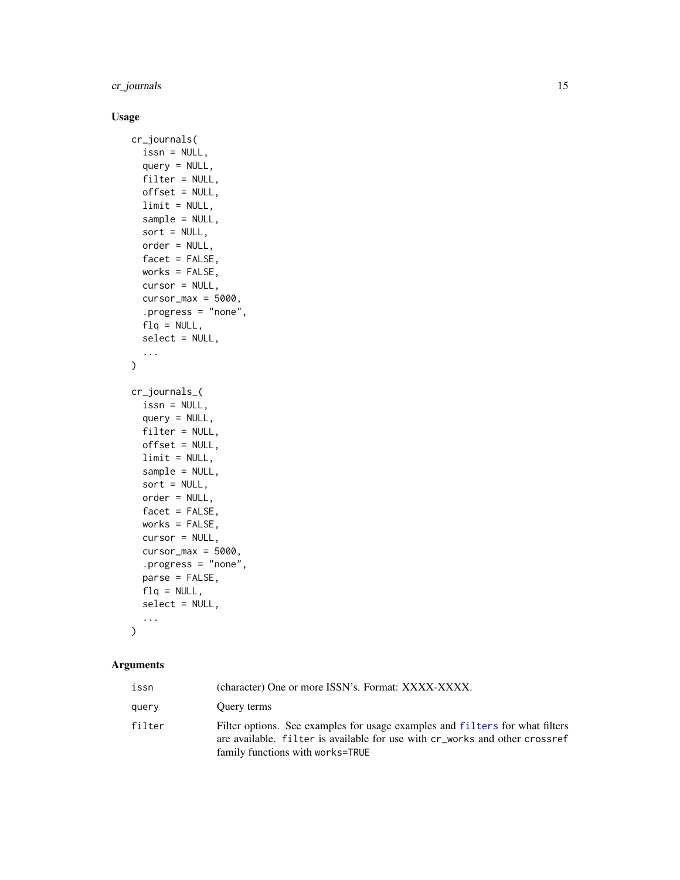<span id="page-14-0"></span>cr\_journals 15

# Usage

```
cr_journals(
  issn = NULL,
  query = NULL,
  filter = NULL,
 offset = NULL,
  limit = NULL,sample = NULL,
  sort = NULL,order = NULL,
  facet = FALSE,works = FALSE,cursor = NULL,
  cursor_max = 5000,.progress = "none",
  flq = NULL,select = NULL,
  ...
\mathcal{L}cr_journals_(
  issn = NULL,
  query = NULL,
  filter = NULL,
  offset = NULL,
  limit = NULL,
  sample = NULL,
  sort = NULL,order = NULL,
  facet = FALSE,
 works = FALSE,
  cursor = NULL,
  cursor_max = 5000,.progress = "none",
 parse = FALSE,
 flq = NULL,select = NULL,
  ...
\mathcal{L}
```
# Arguments

| issn   | (character) One or more ISSN's. Format: XXXX-XXXX.                                                                                                                                                        |
|--------|-----------------------------------------------------------------------------------------------------------------------------------------------------------------------------------------------------------|
| query  | Ouery terms                                                                                                                                                                                               |
| filter | Filter options. See examples for usage examples and filters for what filters<br>are available. filter is available for use with $cr_{\text{work}}$ and other crossref<br>family functions with works=TRUE |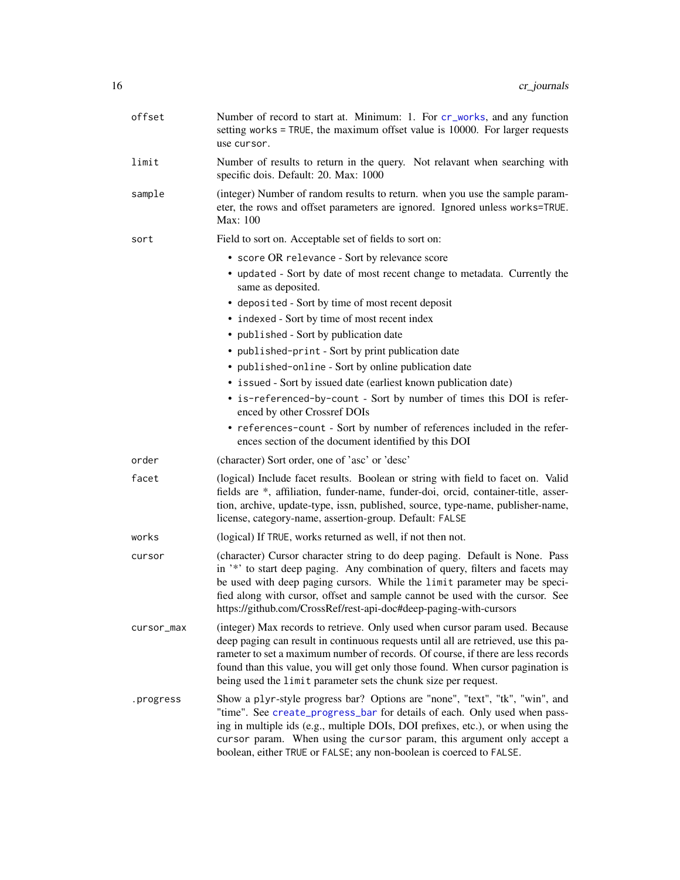<span id="page-15-0"></span>

| offset     | Number of record to start at. Minimum: 1. For cr_works, and any function<br>setting works = TRUE, the maximum offset value is 10000. For larger requests<br>use cursor.                                                                                                                                                                                                                                       |
|------------|---------------------------------------------------------------------------------------------------------------------------------------------------------------------------------------------------------------------------------------------------------------------------------------------------------------------------------------------------------------------------------------------------------------|
| limit      | Number of results to return in the query. Not relavant when searching with<br>specific dois. Default: 20. Max: 1000                                                                                                                                                                                                                                                                                           |
| sample     | (integer) Number of random results to return. when you use the sample param-<br>eter, the rows and offset parameters are ignored. Ignored unless works=TRUE.<br>Max: 100                                                                                                                                                                                                                                      |
| sort       | Field to sort on. Acceptable set of fields to sort on:                                                                                                                                                                                                                                                                                                                                                        |
|            | • score OR relevance - Sort by relevance score                                                                                                                                                                                                                                                                                                                                                                |
|            | • updated - Sort by date of most recent change to metadata. Currently the<br>same as deposited.                                                                                                                                                                                                                                                                                                               |
|            | • deposited - Sort by time of most recent deposit                                                                                                                                                                                                                                                                                                                                                             |
|            | • indexed - Sort by time of most recent index                                                                                                                                                                                                                                                                                                                                                                 |
|            | • published - Sort by publication date                                                                                                                                                                                                                                                                                                                                                                        |
|            | • published-print - Sort by print publication date                                                                                                                                                                                                                                                                                                                                                            |
|            | • published-online - Sort by online publication date                                                                                                                                                                                                                                                                                                                                                          |
|            | • issued - Sort by issued date (earliest known publication date)                                                                                                                                                                                                                                                                                                                                              |
|            | • is-referenced-by-count - Sort by number of times this DOI is refer-<br>enced by other Crossref DOIs                                                                                                                                                                                                                                                                                                         |
|            | • references-count - Sort by number of references included in the refer-<br>ences section of the document identified by this DOI                                                                                                                                                                                                                                                                              |
| order      | (character) Sort order, one of 'asc' or 'desc'                                                                                                                                                                                                                                                                                                                                                                |
| facet      | (logical) Include facet results. Boolean or string with field to facet on. Valid<br>fields are *, affiliation, funder-name, funder-doi, orcid, container-title, asser-<br>tion, archive, update-type, issn, published, source, type-name, publisher-name,<br>license, category-name, assertion-group. Default: FALSE                                                                                          |
| works      | (logical) If TRUE, works returned as well, if not then not.                                                                                                                                                                                                                                                                                                                                                   |
| cursor     | (character) Cursor character string to do deep paging. Default is None. Pass<br>in '*' to start deep paging. Any combination of query, filters and facets may<br>be used with deep paging cursors. While the limit parameter may be speci-<br>fied along with cursor, offset and sample cannot be used with the cursor. See<br>https://github.com/CrossRef/rest-api-doc#deep-paging-with-cursors              |
| cursor_max | (integer) Max records to retrieve. Only used when cursor param used. Because<br>deep paging can result in continuous requests until all are retrieved, use this pa-<br>rameter to set a maximum number of records. Of course, if there are less records<br>found than this value, you will get only those found. When cursor pagination is<br>being used the limit parameter sets the chunk size per request. |
| .progress  | Show a plyr-style progress bar? Options are "none", "text", "tk", "win", and<br>"time". See create_progress_bar for details of each. Only used when pass-<br>ing in multiple ids (e.g., multiple DOIs, DOI prefixes, etc.), or when using the<br>cursor param. When using the cursor param, this argument only accept a<br>boolean, either TRUE or FALSE; any non-boolean is coerced to FALSE.                |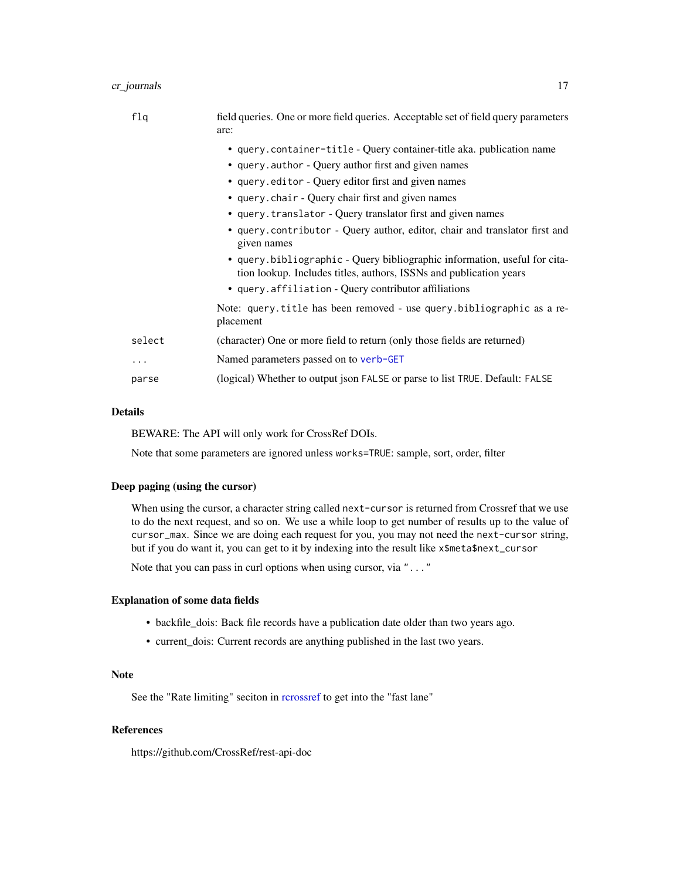# <span id="page-16-0"></span>cr\_journals 17

| flq      | field queries. One or more field queries. Acceptable set of field query parameters<br>are:                                                      |
|----------|-------------------------------------------------------------------------------------------------------------------------------------------------|
|          | • query.container-title - Query container-title aka. publication name                                                                           |
|          | • query. author - Query author first and given names                                                                                            |
|          | • query.editor - Query editor first and given names                                                                                             |
|          | • query.chair - Query chair first and given names                                                                                               |
|          | • query.translator - Query translator first and given names                                                                                     |
|          | • query contributor - Query author, editor, chair and translator first and<br>given names                                                       |
|          | • query bibliographic - Query bibliographic information, useful for cita-<br>tion lookup. Includes titles, authors, ISSNs and publication years |
|          | • query.affiliation - Query contributor affiliations                                                                                            |
|          | Note: query.title has been removed - use query.bibliographic as a re-<br>placement                                                              |
| select   | (character) One or more field to return (only those fields are returned)                                                                        |
| $\cdots$ | Named parameters passed on to verb-GET                                                                                                          |
| parse    | (logical) Whether to output json FALSE or parse to list TRUE. Default: FALSE                                                                    |
|          |                                                                                                                                                 |

# Details

BEWARE: The API will only work for CrossRef DOIs.

Note that some parameters are ignored unless works=TRUE: sample, sort, order, filter

#### Deep paging (using the cursor)

When using the cursor, a character string called next-cursor is returned from Crossref that we use to do the next request, and so on. We use a while loop to get number of results up to the value of cursor\_max. Since we are doing each request for you, you may not need the next-cursor string, but if you do want it, you can get to it by indexing into the result like x\$meta\$next\_cursor

Note that you can pass in curl options when using cursor, via "..."

#### Explanation of some data fields

- backfile\_dois: Back file records have a publication date older than two years ago.
- current\_dois: Current records are anything published in the last two years.

#### Note

See the "Rate limiting" seciton in [rcrossref](#page-1-1) to get into the "fast lane"

#### References

https://github.com/CrossRef/rest-api-doc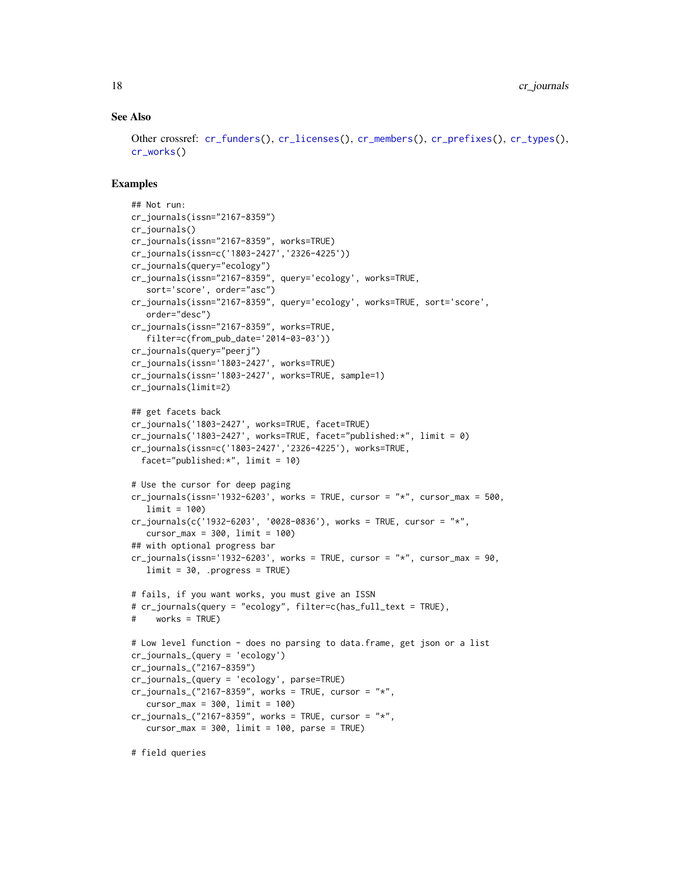#### See Also

```
Other crossref: cr_funders(), cr_licenses(), cr_members(), cr_prefixes(), cr_types(),
cr_works()
```

```
## Not run:
cr_journals(issn="2167-8359")
cr_journals()
cr_journals(issn="2167-8359", works=TRUE)
cr_journals(issn=c('1803-2427','2326-4225'))
cr_journals(query="ecology")
cr_journals(issn="2167-8359", query='ecology', works=TRUE,
   sort='score', order="asc")
cr_journals(issn="2167-8359", query='ecology', works=TRUE, sort='score',
  order="desc")
cr_journals(issn="2167-8359", works=TRUE,
   filter=c(from_pub_date='2014-03-03'))
cr_journals(query="peerj")
cr_journals(issn='1803-2427', works=TRUE)
cr_journals(issn='1803-2427', works=TRUE, sample=1)
cr_journals(limit=2)
## get facets back
cr_journals('1803-2427', works=TRUE, facet=TRUE)
cr_journals('1803-2427', works=TRUE, facet="published:*", limit = 0)
cr_journals(issn=c('1803-2427','2326-4225'), works=TRUE,
  facet="published:*", limit = 10)
# Use the cursor for deep paging
cr_journals(issn='1932-6203', works = TRUE, cursor = "*", cursor_max = 500,limit = 100)
cr_journals(c('1932-6203', '0028-0836'), works = TRUE, cursor = "*",
   cursor_max = 300, limit = 100## with optional progress bar
cr_journals(issn='1932-6203', works = TRUE, cursor = "*", cursor_max = 90,limit = 30, .progress = TRUE)
# fails, if you want works, you must give an ISSN
# cr_journals(query = "ecology", filter=c(has_full_text = TRUE),
# works = TRUE)
# Low level function - does no parsing to data.frame, get json or a list
cr_journals_(query = 'ecology')
cr_journals_("2167-8359")
cr_journals_(query = 'ecology', parse=TRUE)
cr_journals_("2167-8359", works = TRUE, cursor = "*",
   cursor_max = 300, limit = 100cr_journals_("2167-8359", works = TRUE, cursor = "*",
   cursor_max = 300, limit = 100, parse = TRUE)
# field queries
```
<span id="page-17-0"></span>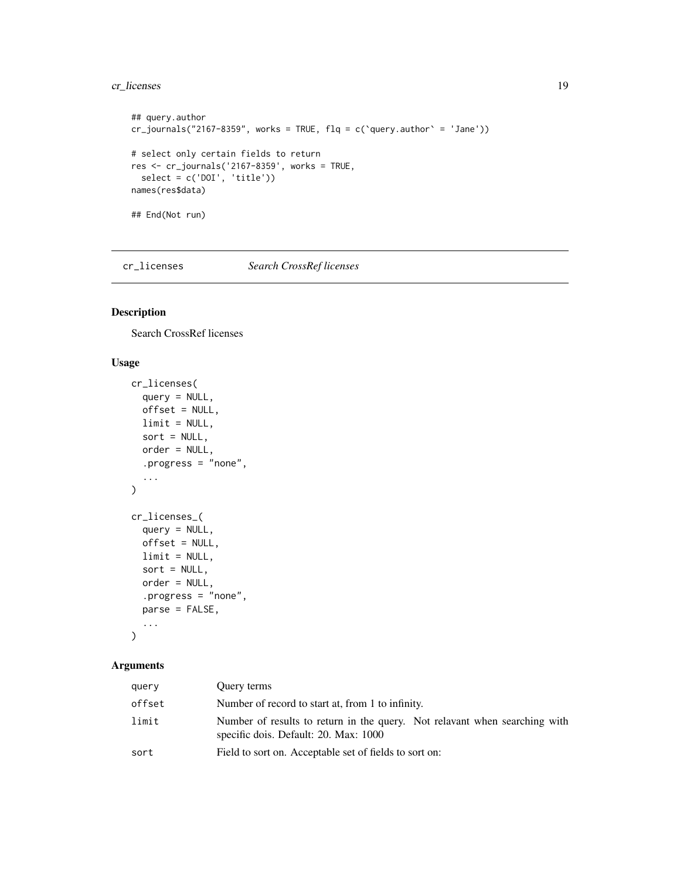# <span id="page-18-0"></span>cr\_licenses 19

```
## query.author
cr_journals("2167-8359", works = TRUE, flq = c('query.author' = 'Jane'))# select only certain fields to return
res <- cr_journals('2167-8359', works = TRUE,
  select = c('DOI', 'title'))names(res$data)
## End(Not run)
```
<span id="page-18-1"></span>cr\_licenses *Search CrossRef licenses*

# Description

Search CrossRef licenses

# Usage

```
cr_licenses(
  query = NULL,
  offset = NULL,
  limit = NULL,
  sort = NULL,order = NULL,
  .progress = "none",
  ...
\mathcal{L}cr_licenses_(
  query = NULL,
  offset = NULL,
  limit = NULL,
  sort = NULL,order = NULL,
  .progress = "none",
  parse = FALSE,
  ...
\mathcal{L}
```
# Arguments

| query  | Ouery terms                                                                                                         |
|--------|---------------------------------------------------------------------------------------------------------------------|
| offset | Number of record to start at, from 1 to infinity.                                                                   |
| limit  | Number of results to return in the query. Not relayant when searching with<br>specific dois. Default: 20. Max: 1000 |
| sort   | Field to sort on. Acceptable set of fields to sort on:                                                              |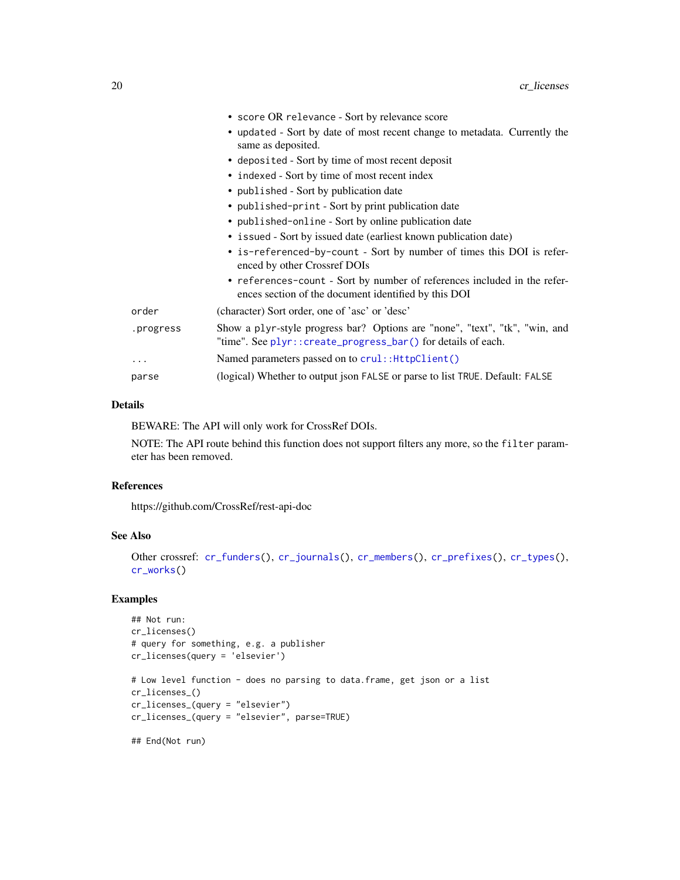<span id="page-19-0"></span>

|           | • score OR relevance - Sort by relevance score                                                                                               |
|-----------|----------------------------------------------------------------------------------------------------------------------------------------------|
|           | • updated - Sort by date of most recent change to metadata. Currently the<br>same as deposited.                                              |
|           | • deposited - Sort by time of most recent deposit                                                                                            |
|           | • indexed - Sort by time of most recent index                                                                                                |
|           | • published - Sort by publication date                                                                                                       |
|           | • published-print - Sort by print publication date                                                                                           |
|           | • published-online - Sort by online publication date                                                                                         |
|           | • issued - Sort by issued date (earliest known publication date)                                                                             |
|           | • is-referenced-by-count - Sort by number of times this DOI is refer-<br>enced by other Crossref DOIs                                        |
|           | • references-count - Sort by number of references included in the refer-<br>ences section of the document identified by this DOI             |
| order     | (character) Sort order, one of 'asc' or 'desc'                                                                                               |
| .progress | Show a plyr-style progress bar? Options are "none", "text", "tk", "win, and<br>"time". See plyr:: create_progress_bar() for details of each. |
| .         | Named parameters passed on to crul:: HttpClient()                                                                                            |
| parse     | (logical) Whether to output json FALSE or parse to list TRUE. Default: FALSE                                                                 |
|           |                                                                                                                                              |

#### Details

BEWARE: The API will only work for CrossRef DOIs.

NOTE: The API route behind this function does not support filters any more, so the filter parameter has been removed.

#### References

https://github.com/CrossRef/rest-api-doc

#### See Also

```
Other crossref: cr_funders(), cr_journals(), cr_members(), cr_prefixes(), cr_types(),
cr_works()
```

```
## Not run:
cr_licenses()
# query for something, e.g. a publisher
cr_licenses(query = 'elsevier')
# Low level function - does no parsing to data.frame, get json or a list
cr_licenses_()
cr_licenses_(query = "elsevier")
cr_licenses_(query = "elsevier", parse=TRUE)
```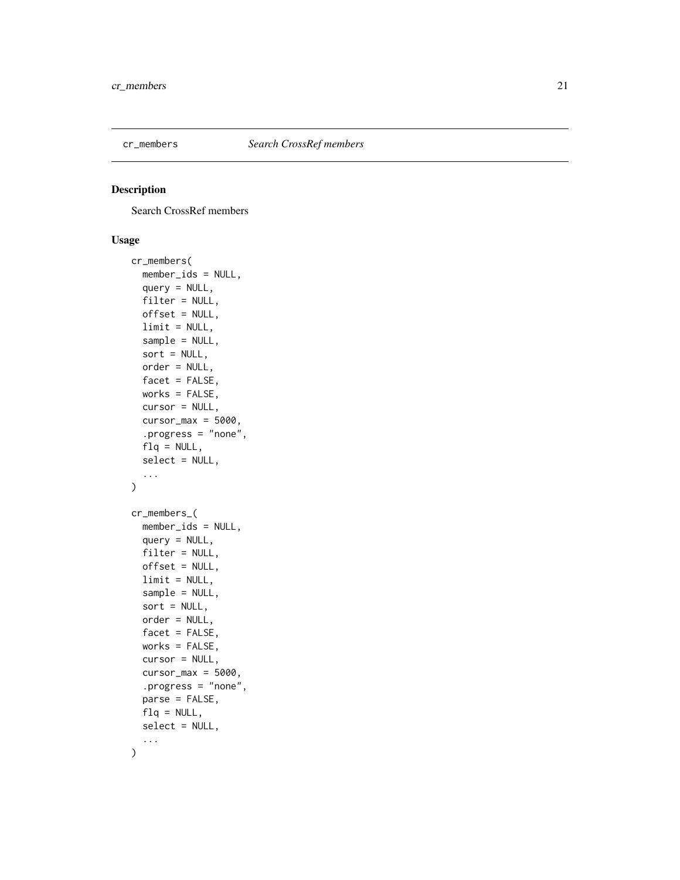<span id="page-20-1"></span><span id="page-20-0"></span>

# Description

Search CrossRef members

# Usage

```
cr_members(
  member_ids = NULL,
  query = NULL,
  filter = NULL,
  offset = NULL,
  limit = NULL,
  sample = NULL,
  sort = NULL,order = NULL,
  facet = FALSE,works = FALSE,
  cursor = NULL,
  cursor_max = 5000,.progress = "none",
  flq = NULL,select = NULL,
  ...
\mathcal{L}cr_members_(
  member_ids = NULL,
  query = NULL,
  filter = NULL,
 offset = NULL,limit = NULL,
  sample = NULL,
  sort = NULL,order = NULL,
  facet = FALSE,works = FALSE,
  cursor = NULL,
  cursor_max = 5000,.progress = "none",
  parse = FALSE,
  flq = NULL,select = NULL,
  ...
\mathcal{L}
```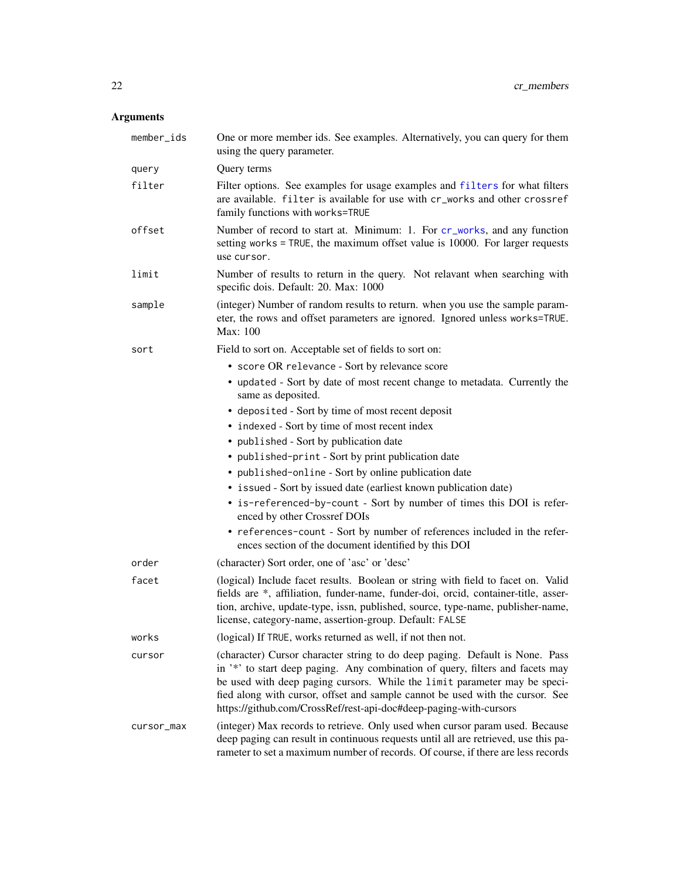# <span id="page-21-0"></span>Arguments

| member_ids | One or more member ids. See examples. Alternatively, you can query for them<br>using the query parameter.                                                                                                                                                                                                                                                                                        |
|------------|--------------------------------------------------------------------------------------------------------------------------------------------------------------------------------------------------------------------------------------------------------------------------------------------------------------------------------------------------------------------------------------------------|
| query      | Query terms                                                                                                                                                                                                                                                                                                                                                                                      |
| filter     | Filter options. See examples for usage examples and filters for what filters<br>are available. filter is available for use with cr_works and other crossref<br>family functions with works=TRUE                                                                                                                                                                                                  |
| offset     | Number of record to start at. Minimum: 1. For cr_works, and any function<br>setting works = TRUE, the maximum offset value is 10000. For larger requests<br>use cursor.                                                                                                                                                                                                                          |
| limit      | Number of results to return in the query. Not relavant when searching with<br>specific dois. Default: 20. Max: 1000                                                                                                                                                                                                                                                                              |
| sample     | (integer) Number of random results to return. when you use the sample param-<br>eter, the rows and offset parameters are ignored. Ignored unless works=TRUE.<br>Max: 100                                                                                                                                                                                                                         |
| sort       | Field to sort on. Acceptable set of fields to sort on:                                                                                                                                                                                                                                                                                                                                           |
|            | • score OR relevance - Sort by relevance score                                                                                                                                                                                                                                                                                                                                                   |
|            | • updated - Sort by date of most recent change to metadata. Currently the<br>same as deposited.                                                                                                                                                                                                                                                                                                  |
|            | • deposited - Sort by time of most recent deposit                                                                                                                                                                                                                                                                                                                                                |
|            | • indexed - Sort by time of most recent index                                                                                                                                                                                                                                                                                                                                                    |
|            | • published - Sort by publication date                                                                                                                                                                                                                                                                                                                                                           |
|            | • published-print - Sort by print publication date                                                                                                                                                                                                                                                                                                                                               |
|            | • published-online - Sort by online publication date                                                                                                                                                                                                                                                                                                                                             |
|            | • issued - Sort by issued date (earliest known publication date)                                                                                                                                                                                                                                                                                                                                 |
|            | • is-referenced-by-count - Sort by number of times this DOI is refer-<br>enced by other Crossref DOIs                                                                                                                                                                                                                                                                                            |
|            | • references-count - Sort by number of references included in the refer-<br>ences section of the document identified by this DOI                                                                                                                                                                                                                                                                 |
| order      | (character) Sort order, one of 'asc' or 'desc'                                                                                                                                                                                                                                                                                                                                                   |
| facet      | (logical) Include facet results. Boolean or string with field to facet on. Valid<br>fields are *, affiliation, funder-name, funder-doi, orcid, container-title, asser-<br>tion, archive, update-type, issn, published, source, type-name, publisher-name,<br>license, category-name, assertion-group. Default: FALSE                                                                             |
| works      | (logical) If TRUE, works returned as well, if not then not.                                                                                                                                                                                                                                                                                                                                      |
| cursor     | (character) Cursor character string to do deep paging. Default is None. Pass<br>in '*' to start deep paging. Any combination of query, filters and facets may<br>be used with deep paging cursors. While the limit parameter may be speci-<br>fied along with cursor, offset and sample cannot be used with the cursor. See<br>https://github.com/CrossRef/rest-api-doc#deep-paging-with-cursors |
| cursor_max | (integer) Max records to retrieve. Only used when cursor param used. Because<br>deep paging can result in continuous requests until all are retrieved, use this pa-<br>rameter to set a maximum number of records. Of course, if there are less records                                                                                                                                          |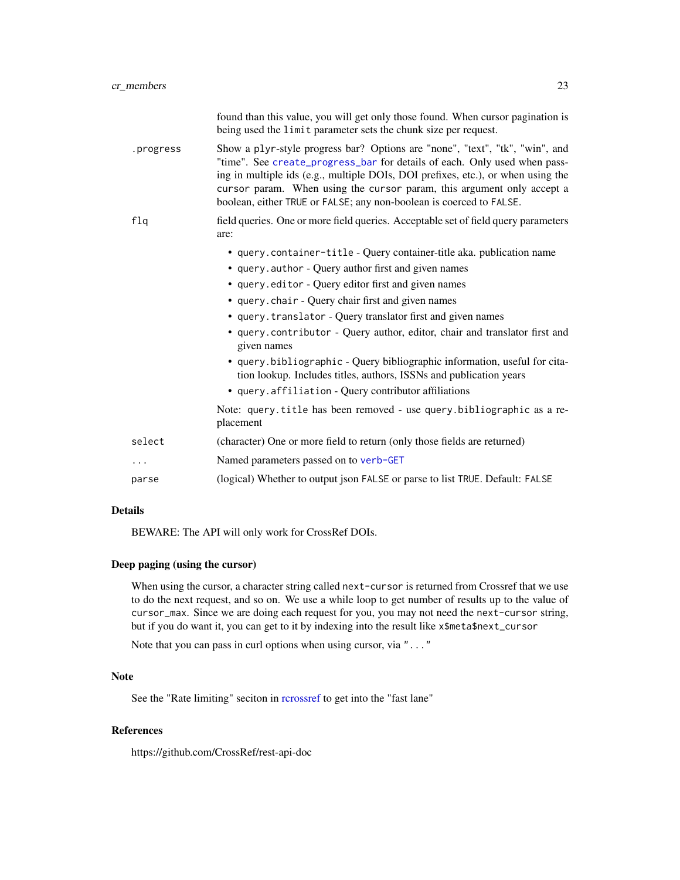<span id="page-22-0"></span>

|           | found than this value, you will get only those found. When cursor pagination is<br>being used the limit parameter sets the chunk size per request.                                                                                                                                                                                                                                             |
|-----------|------------------------------------------------------------------------------------------------------------------------------------------------------------------------------------------------------------------------------------------------------------------------------------------------------------------------------------------------------------------------------------------------|
| .progress | Show a plyr-style progress bar? Options are "none", "text", "tk", "win", and<br>"time". See create_progress_bar for details of each. Only used when pass-<br>ing in multiple ids (e.g., multiple DOIs, DOI prefixes, etc.), or when using the<br>cursor param. When using the cursor param, this argument only accept a<br>boolean, either TRUE or FALSE; any non-boolean is coerced to FALSE. |
| flq       | field queries. One or more field queries. Acceptable set of field query parameters<br>are:                                                                                                                                                                                                                                                                                                     |
|           | • query.container-title - Query container-title aka. publication name                                                                                                                                                                                                                                                                                                                          |
|           | • query. author - Query author first and given names                                                                                                                                                                                                                                                                                                                                           |
|           | • query editor - Query editor first and given names                                                                                                                                                                                                                                                                                                                                            |
|           | • query.chair - Query chair first and given names                                                                                                                                                                                                                                                                                                                                              |
|           | • query. translator - Query translator first and given names                                                                                                                                                                                                                                                                                                                                   |
|           | • query.contributor - Query author, editor, chair and translator first and<br>given names                                                                                                                                                                                                                                                                                                      |
|           | • query.bibliographic - Query bibliographic information, useful for cita-<br>tion lookup. Includes titles, authors, ISSNs and publication years                                                                                                                                                                                                                                                |
|           | • query.affiliation - Query contributor affiliations                                                                                                                                                                                                                                                                                                                                           |
|           | Note: query.title has been removed - use query.bibliographic as a re-<br>placement                                                                                                                                                                                                                                                                                                             |
| select    | (character) One or more field to return (only those fields are returned)                                                                                                                                                                                                                                                                                                                       |
| .         | Named parameters passed on to verb-GET                                                                                                                                                                                                                                                                                                                                                         |
| parse     | (logical) Whether to output json FALSE or parse to list TRUE. Default: FALSE                                                                                                                                                                                                                                                                                                                   |

#### Details

BEWARE: The API will only work for CrossRef DOIs.

# Deep paging (using the cursor)

When using the cursor, a character string called next-cursor is returned from Crossref that we use to do the next request, and so on. We use a while loop to get number of results up to the value of cursor\_max. Since we are doing each request for you, you may not need the next-cursor string, but if you do want it, you can get to it by indexing into the result like x\$meta\$next\_cursor

Note that you can pass in curl options when using cursor, via "..."

# Note

See the "Rate limiting" seciton in [rcrossref](#page-1-1) to get into the "fast lane"

#### References

https://github.com/CrossRef/rest-api-doc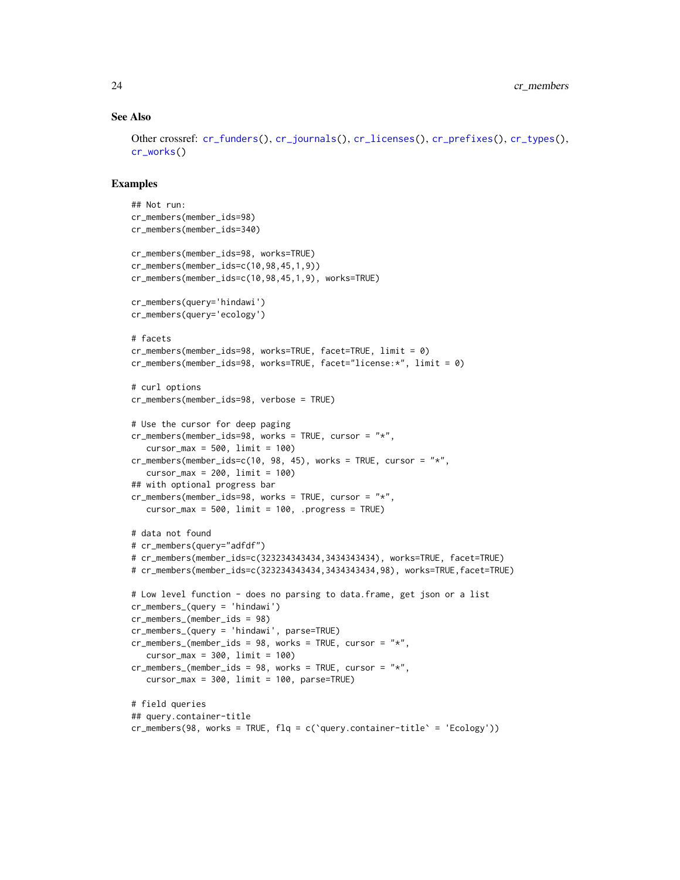#### See Also

```
Other crossref: cr_funders(), cr_journals(), cr_licenses(), cr_prefixes(), cr_types(),
cr_works()
```

```
## Not run:
cr_members(member_ids=98)
cr_members(member_ids=340)
cr_members(member_ids=98, works=TRUE)
cr_members(member_ids=c(10,98,45,1,9))
cr_members(member_ids=c(10,98,45,1,9), works=TRUE)
cr_members(query='hindawi')
cr_members(query='ecology')
# facets
cr_members(member_ids=98, works=TRUE, facet=TRUE, limit = 0)
cr_members(member_ids=98, works=TRUE, facet="license:*", limit = 0)
# curl options
cr_members(member_ids=98, verbose = TRUE)
# Use the cursor for deep paging
cr_members(member_ids=98, works = TRUE, cursor = "*",
   cursor_max = 500, limit = 100)
cr_members(member_ids=c(10, 98, 45), works = TRUE, cursor = "*",
   cursor_max = 200, limit = 100## with optional progress bar
cr_members(member_ids=98, works = TRUE, cursor = "*",
   cursor_max = 500, limit = 100, .progress = TRUE)
# data not found
# cr_members(query="adfdf")
# cr_members(member_ids=c(323234343434,3434343434), works=TRUE, facet=TRUE)
# cr_members(member_ids=c(323234343434,3434343434,98), works=TRUE,facet=TRUE)
# Low level function - does no parsing to data.frame, get json or a list
cr_members_(query = 'hindawi')
cr_members_(member_ids = 98)
cr_members_(query = 'hindawi', parse=TRUE)
cr_members_(member_ids = 98, works = TRUE, cursor = "*",
   cursor_max = 300, limit = 100)cr_members_(member_ids = 98, works = TRUE, cursor = "*",
   cursor_max = 300, limit = 100, parse=True()# field queries
## query.container-title
cr_members(98, works = TRUE, flq = c(`query.container-title` = 'Ecology'))
```
<span id="page-23-0"></span>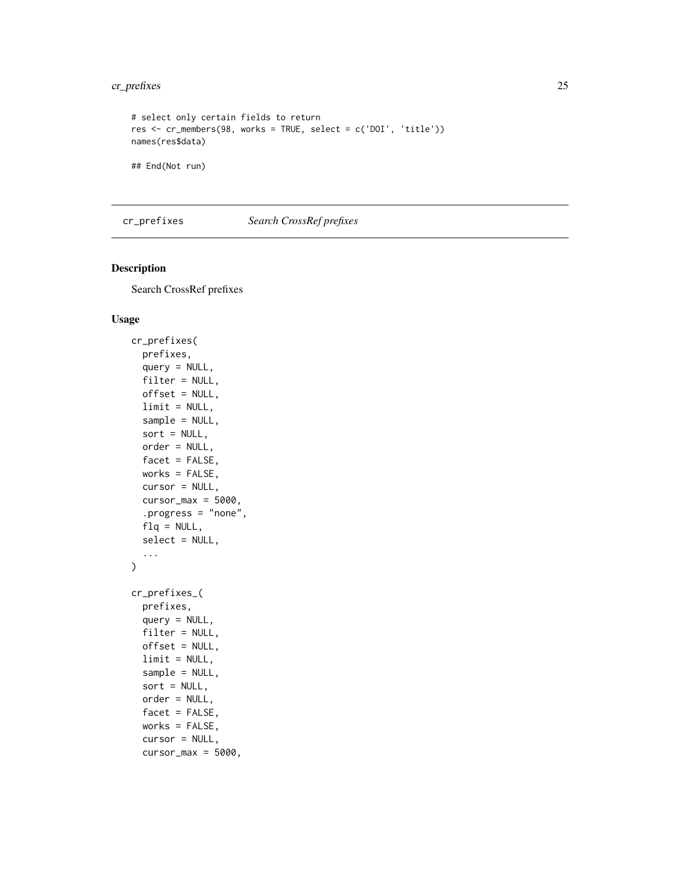# <span id="page-24-0"></span>cr\_prefixes 25

```
# select only certain fields to return
res <- cr_members(98, works = TRUE, select = c('DOI', 'title'))
names(res$data)
## End(Not run)
```
<span id="page-24-1"></span>cr\_prefixes *Search CrossRef prefixes*

# Description

Search CrossRef prefixes

#### Usage

```
cr_prefixes(
 prefixes,
 query = NULL,
  filter = NULL,
 offset = NULL,
  limit = NULL,
  sample = NULL,
  sort = NULL,order = NULL,
  facet = FALSE,
 works = FALSE,
  cursor = NULL,
  cursor_max = 5000,.progress = "none",
  flq = NULL,select = NULL,
  ...
\lambdacr_prefixes_(
  prefixes,
 query = NULL,
  filter = NULL,
 offset = NULL,
  limit = NULL,
  sample = NULL,
  sort = NULL,
  order = NULL,
  facet = FALSE,
  works = FALSE,
  cursor = NULL,
  cursor_max = 5000,
```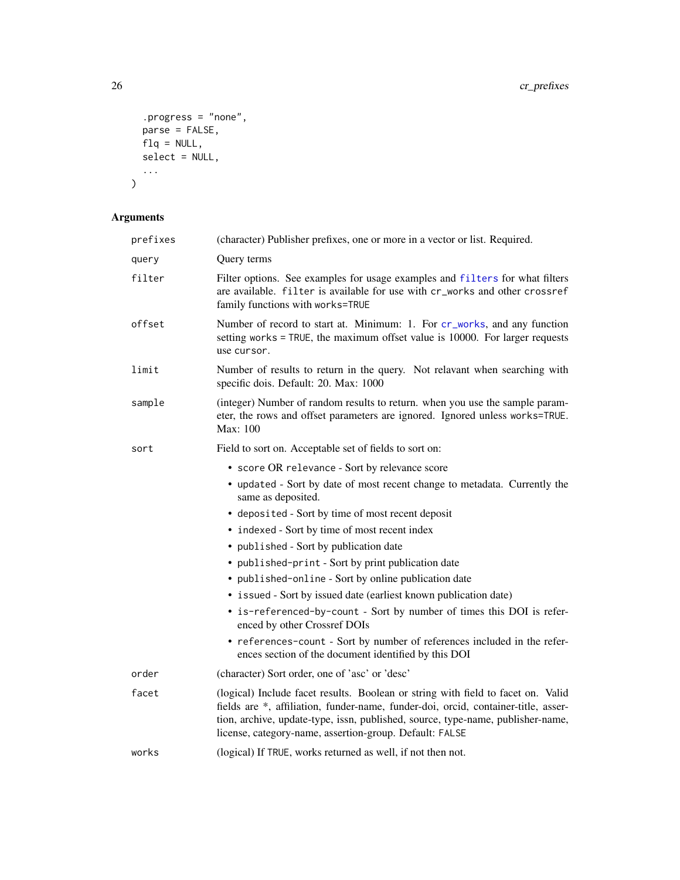```
.progress = "none",
 parse = FALSE,
 flq = NULL,select = NULL,...
)
```
# Arguments

| prefixes | (character) Publisher prefixes, one or more in a vector or list. Required.                                                                                                                                                                                                                                           |
|----------|----------------------------------------------------------------------------------------------------------------------------------------------------------------------------------------------------------------------------------------------------------------------------------------------------------------------|
| query    | Query terms                                                                                                                                                                                                                                                                                                          |
| filter   | Filter options. See examples for usage examples and filters for what filters<br>are available. filter is available for use with cr_works and other crossref<br>family functions with works=TRUE                                                                                                                      |
| offset   | Number of record to start at. Minimum: 1. For cr_works, and any function<br>setting works = TRUE, the maximum offset value is 10000. For larger requests<br>use cursor.                                                                                                                                              |
| limit    | Number of results to return in the query. Not relavant when searching with<br>specific dois. Default: 20. Max: 1000                                                                                                                                                                                                  |
| sample   | (integer) Number of random results to return. when you use the sample param-<br>eter, the rows and offset parameters are ignored. Ignored unless works=TRUE.<br>Max: 100                                                                                                                                             |
| sort     | Field to sort on. Acceptable set of fields to sort on:                                                                                                                                                                                                                                                               |
|          | • score OR relevance - Sort by relevance score                                                                                                                                                                                                                                                                       |
|          | • updated - Sort by date of most recent change to metadata. Currently the<br>same as deposited.                                                                                                                                                                                                                      |
|          | • deposited - Sort by time of most recent deposit                                                                                                                                                                                                                                                                    |
|          | • indexed - Sort by time of most recent index                                                                                                                                                                                                                                                                        |
|          | • published - Sort by publication date                                                                                                                                                                                                                                                                               |
|          | • published-print - Sort by print publication date                                                                                                                                                                                                                                                                   |
|          | • published-online - Sort by online publication date                                                                                                                                                                                                                                                                 |
|          | • issued - Sort by issued date (earliest known publication date)                                                                                                                                                                                                                                                     |
|          | • is-referenced-by-count - Sort by number of times this DOI is refer-<br>enced by other Crossref DOIs                                                                                                                                                                                                                |
|          | • references-count - Sort by number of references included in the refer-<br>ences section of the document identified by this DOI                                                                                                                                                                                     |
| order    | (character) Sort order, one of 'asc' or 'desc'                                                                                                                                                                                                                                                                       |
| facet    | (logical) Include facet results. Boolean or string with field to facet on. Valid<br>fields are *, affiliation, funder-name, funder-doi, orcid, container-title, asser-<br>tion, archive, update-type, issn, published, source, type-name, publisher-name,<br>license, category-name, assertion-group. Default: FALSE |
| works    | (logical) If TRUE, works returned as well, if not then not.                                                                                                                                                                                                                                                          |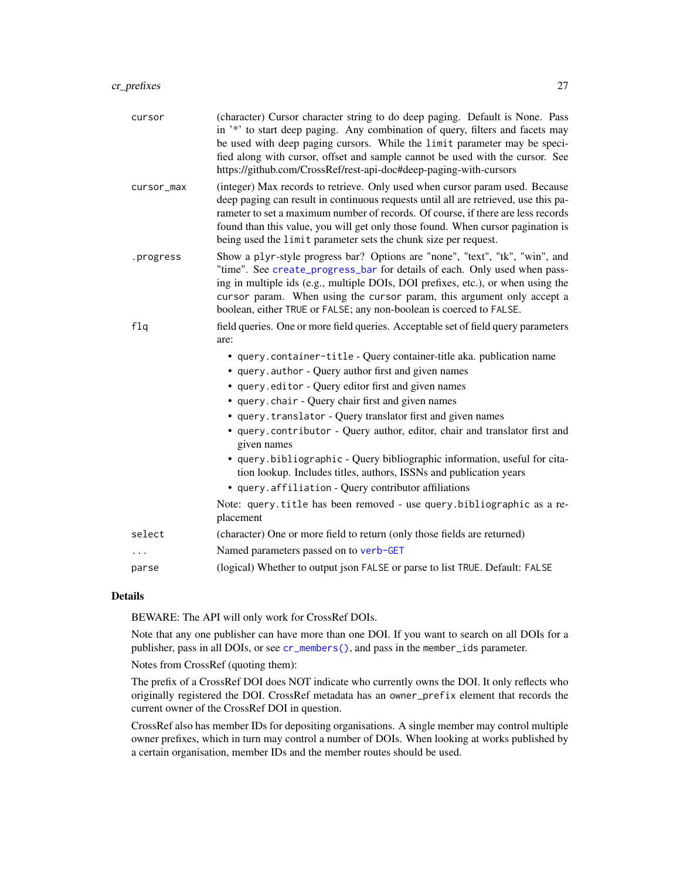<span id="page-26-0"></span>

| cursor     | (character) Cursor character string to do deep paging. Default is None. Pass<br>in '*' to start deep paging. Any combination of query, filters and facets may<br>be used with deep paging cursors. While the limit parameter may be speci-<br>fied along with cursor, offset and sample cannot be used with the cursor. See<br>https://github.com/CrossRef/rest-api-doc#deep-paging-with-cursors              |
|------------|---------------------------------------------------------------------------------------------------------------------------------------------------------------------------------------------------------------------------------------------------------------------------------------------------------------------------------------------------------------------------------------------------------------|
| cursor_max | (integer) Max records to retrieve. Only used when cursor param used. Because<br>deep paging can result in continuous requests until all are retrieved, use this pa-<br>rameter to set a maximum number of records. Of course, if there are less records<br>found than this value, you will get only those found. When cursor pagination is<br>being used the limit parameter sets the chunk size per request. |
| .progress  | Show a plyr-style progress bar? Options are "none", "text", "tk", "win", and<br>"time". See create_progress_bar for details of each. Only used when pass-<br>ing in multiple ids (e.g., multiple DOIs, DOI prefixes, etc.), or when using the<br>cursor param. When using the cursor param, this argument only accept a<br>boolean, either TRUE or FALSE; any non-boolean is coerced to FALSE.                |
| f1q        | field queries. One or more field queries. Acceptable set of field query parameters                                                                                                                                                                                                                                                                                                                            |
|            | are:                                                                                                                                                                                                                                                                                                                                                                                                          |
|            | • query.container-title - Query container-title aka. publication name<br>• query.author - Query author first and given names                                                                                                                                                                                                                                                                                  |
|            | • query.editor - Query editor first and given names                                                                                                                                                                                                                                                                                                                                                           |
|            | • query.chair - Query chair first and given names                                                                                                                                                                                                                                                                                                                                                             |
|            | • query.translator - Query translator first and given names                                                                                                                                                                                                                                                                                                                                                   |
|            | · query.contributor - Query author, editor, chair and translator first and<br>given names                                                                                                                                                                                                                                                                                                                     |
|            | • query.bibliographic - Query bibliographic information, useful for cita-<br>tion lookup. Includes titles, authors, ISSNs and publication years                                                                                                                                                                                                                                                               |
|            | • query.affiliation - Query contributor affiliations                                                                                                                                                                                                                                                                                                                                                          |
|            | Note: query.title has been removed - use query.bibliographic as a re-<br>placement                                                                                                                                                                                                                                                                                                                            |
| select     | (character) One or more field to return (only those fields are returned)                                                                                                                                                                                                                                                                                                                                      |
|            | Named parameters passed on to verb-GET                                                                                                                                                                                                                                                                                                                                                                        |
| parse      | (logical) Whether to output json FALSE or parse to list TRUE. Default: FALSE                                                                                                                                                                                                                                                                                                                                  |

#### Details

BEWARE: The API will only work for CrossRef DOIs.

Note that any one publisher can have more than one DOI. If you want to search on all DOIs for a publisher, pass in all DOIs, or see [cr\\_members\(\)](#page-20-1), and pass in the member\_ids parameter.

Notes from CrossRef (quoting them):

The prefix of a CrossRef DOI does NOT indicate who currently owns the DOI. It only reflects who originally registered the DOI. CrossRef metadata has an owner\_prefix element that records the current owner of the CrossRef DOI in question.

CrossRef also has member IDs for depositing organisations. A single member may control multiple owner prefixes, which in turn may control a number of DOIs. When looking at works published by a certain organisation, member IDs and the member routes should be used.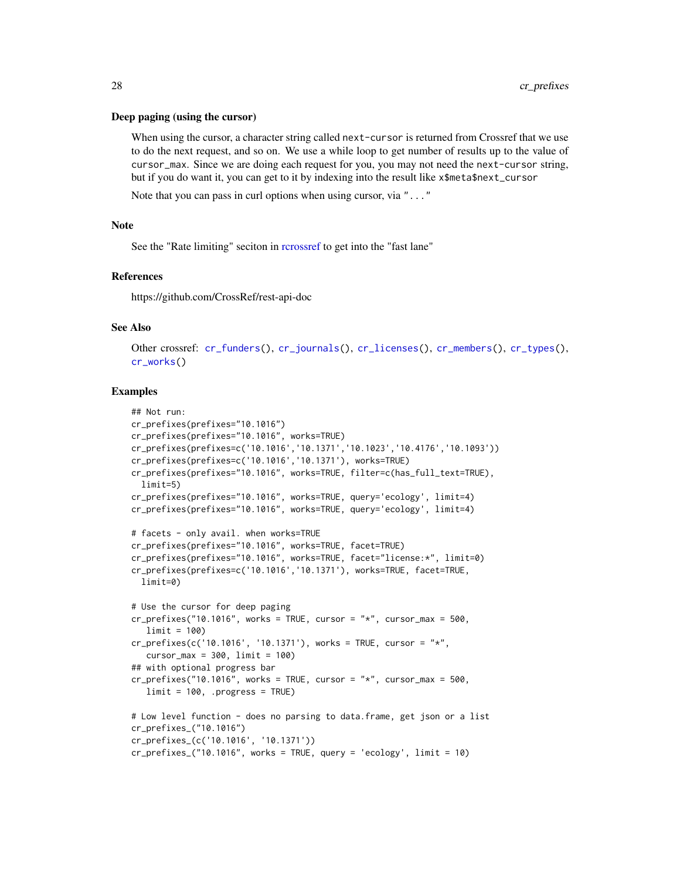#### <span id="page-27-0"></span>Deep paging (using the cursor)

When using the cursor, a character string called next-cursor is returned from Crossref that we use to do the next request, and so on. We use a while loop to get number of results up to the value of cursor\_max. Since we are doing each request for you, you may not need the next-cursor string, but if you do want it, you can get to it by indexing into the result like x\$meta\$next\_cursor

Note that you can pass in curl options when using cursor, via "..."

#### Note

See the "Rate limiting" seciton in [rcrossref](#page-1-1) to get into the "fast lane"

#### References

https://github.com/CrossRef/rest-api-doc

#### See Also

Other crossref: [cr\\_funders\(](#page-9-1)), [cr\\_journals\(](#page-13-1)), [cr\\_licenses\(](#page-18-1)), [cr\\_members\(](#page-20-1)), [cr\\_types\(](#page-29-1)), [cr\\_works\(](#page-33-1))

```
## Not run:
cr_prefixes(prefixes="10.1016")
cr_prefixes(prefixes="10.1016", works=TRUE)
cr_prefixes(prefixes=c('10.1016','10.1371','10.1023','10.4176','10.1093'))
cr_prefixes(prefixes=c('10.1016','10.1371'), works=TRUE)
cr_prefixes(prefixes="10.1016", works=TRUE, filter=c(has_full_text=TRUE),
  limit=5)
cr_prefixes(prefixes="10.1016", works=TRUE, query='ecology', limit=4)
cr_prefixes(prefixes="10.1016", works=TRUE, query='ecology', limit=4)
# facets - only avail. when works=TRUE
cr_prefixes(prefixes="10.1016", works=TRUE, facet=TRUE)
cr_prefixes(prefixes="10.1016", works=TRUE, facet="license:*", limit=0)
cr_prefixes(prefixes=c('10.1016','10.1371'), works=TRUE, facet=TRUE,
  limit=0)
# Use the cursor for deep paging
cr_prefixes("10.1016", works = TRUE, cursor = "*", cursor_max = 500,limit = 100)
cr_prefixes(c('10.1016', '10.1371'), works = TRUE, cursor = "*",
  cursor_max = 300, limit = 100)
## with optional progress bar
cr_prefixes("10.1016", works = TRUE, cursor = "*", cursor_max = 500,
   limit = 100, .progress = TRUE)
# Low level function - does no parsing to data.frame, get json or a list
cr_prefixes_("10.1016")
cr_prefixes_(c('10.1016', '10.1371'))
cr_prefixes_("10.1016", works = TRUE, query = 'ecology', limit = 10)
```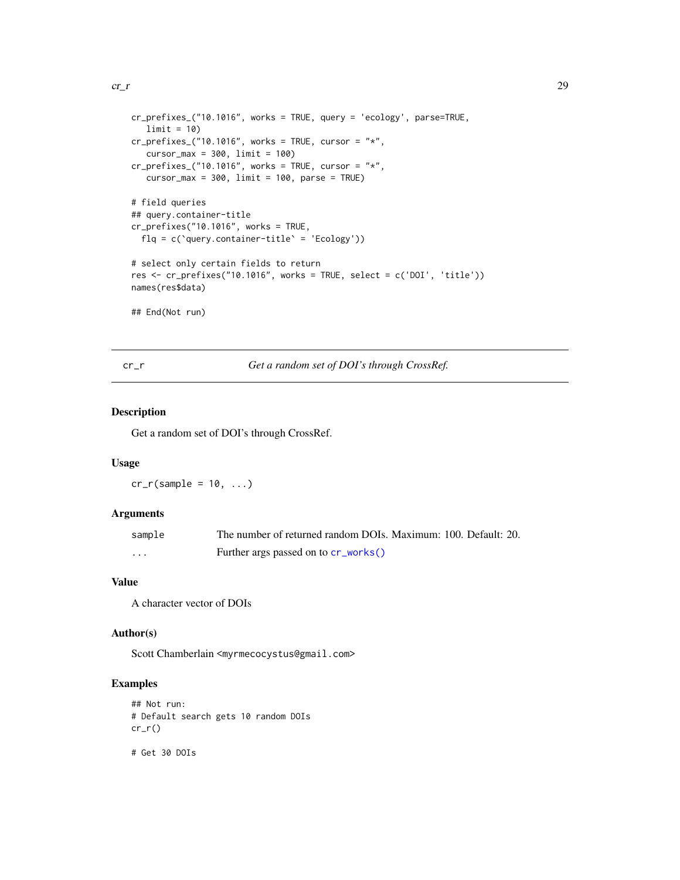```
cr\_r 29
```

```
cr_prefixes_("10.1016", works = TRUE, query = 'ecology', parse=TRUE,
  limit = 10cr\_prefixes\_("10.1016", works = TRUE, cursor = "*",cursor_max = 300, limit = 100cr\_prefixes_('10.1016", works = TRUE, cursor = "*",cursor_max = 300, limit = 100, parse = TRUE)
# field queries
## query.container-title
cr\_prefixes("10.1016", works = TRUE,flq = c(`query.container-title` = 'Ecology'))
# select only certain fields to return
res <- cr_prefixes("10.1016", works = TRUE, select = c('DOI', 'title'))
names(res$data)
## End(Not run)
```
<span id="page-28-1"></span>cr\_r *Get a random set of DOI's through CrossRef.*

# Description

Get a random set of DOI's through CrossRef.

#### Usage

 $cr_r(sample = 10, ...)$ 

# Arguments

| sample | The number of returned random DOIs. Maximum: 100. Default: 20. |
|--------|----------------------------------------------------------------|
| .      | Further args passed on to cr_works()                           |

#### Value

A character vector of DOIs

#### Author(s)

Scott Chamberlain <myrmecocystus@gmail.com>

# Examples

```
## Not run:
# Default search gets 10 random DOIs
cr_r()
```
# Get 30 DOIs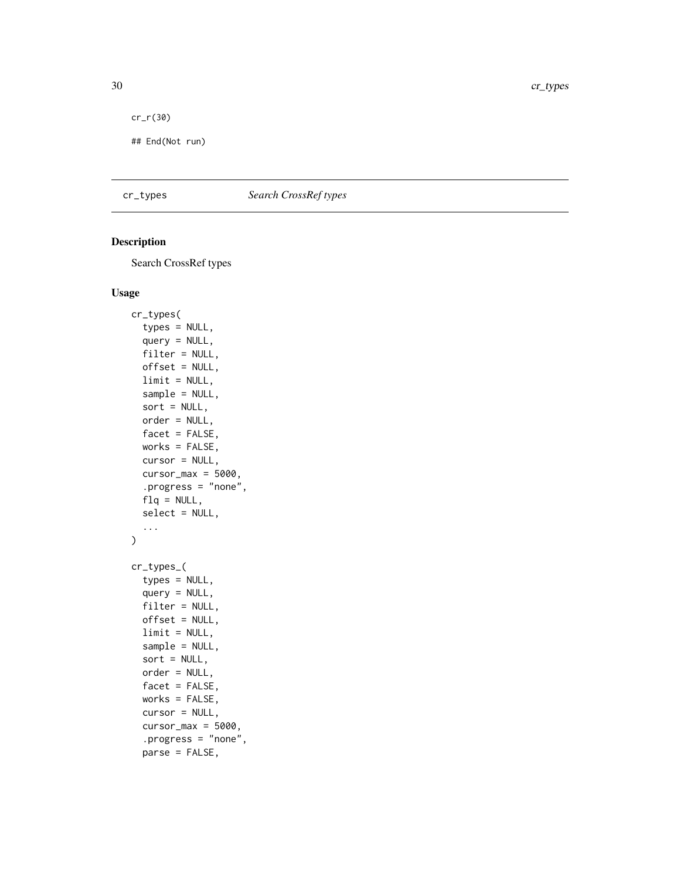```
cr_r(30)
```
## End(Not run)

# <span id="page-29-1"></span>cr\_types *Search CrossRef types*

# Description

Search CrossRef types

#### Usage

```
cr_types(
  types = NULL,
  query = NULL,
  filter = NULL,
 offset = NULL,
 limit = NULL,
  sample = NULL,
  sort = NULL,order = NULL,
  facet = FALSE,
 works = FALSE,
  cursor = NULL,
 cursor_max = 5000,.progress = "none",
  flq = NULL,select = NULL,
  ...
\mathcal{L}cr_types_(
  types = NULL,
  query = NULL,
 filter = NULL,
 offset = NULL,
  limit = NULL,
  sample = NULL,
  sort = NULL,order = NULL,
  facet = FALSE,
 works = FALSE,
  cursor = NULL,
  cursor_max = 5000,.progress = "none",
  parse = FALSE,
```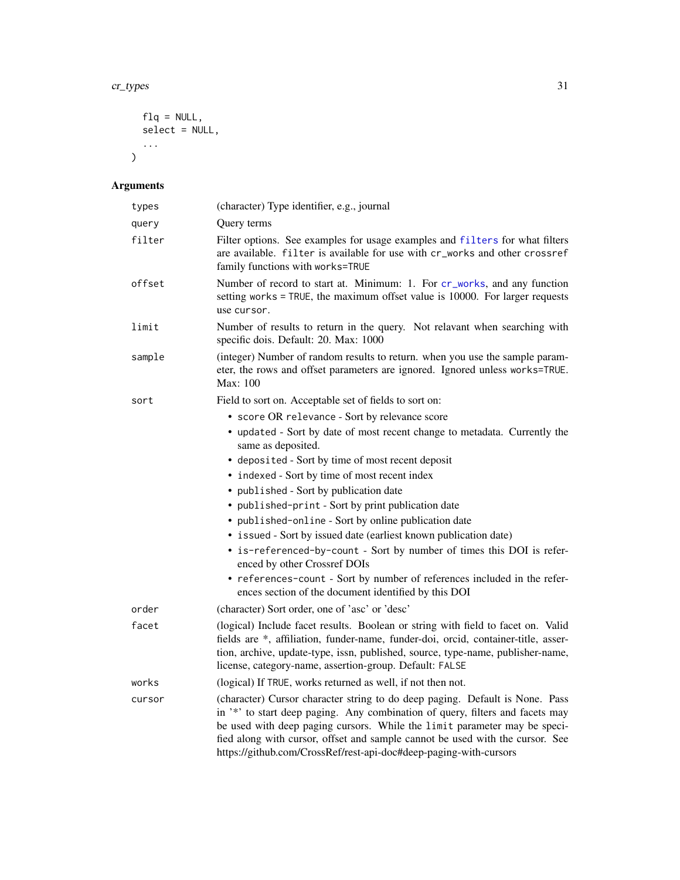```
flq = NULL,select = NULL,
 ...
\lambda
```
# Arguments

| types  | (character) Type identifier, e.g., journal                                                                                                                                                                                                                                                                                                                                                       |
|--------|--------------------------------------------------------------------------------------------------------------------------------------------------------------------------------------------------------------------------------------------------------------------------------------------------------------------------------------------------------------------------------------------------|
| query  | Query terms                                                                                                                                                                                                                                                                                                                                                                                      |
| filter | Filter options. See examples for usage examples and filters for what filters<br>are available. filter is available for use with cr_works and other crossref<br>family functions with works=TRUE                                                                                                                                                                                                  |
| offset | Number of record to start at. Minimum: 1. For cr_works, and any function<br>setting works = TRUE, the maximum offset value is 10000. For larger requests<br>use cursor.                                                                                                                                                                                                                          |
| limit  | Number of results to return in the query. Not relavant when searching with<br>specific dois. Default: 20. Max: 1000                                                                                                                                                                                                                                                                              |
| sample | (integer) Number of random results to return. when you use the sample param-<br>eter, the rows and offset parameters are ignored. Ignored unless works=TRUE.<br>Max: 100                                                                                                                                                                                                                         |
| sort   | Field to sort on. Acceptable set of fields to sort on:                                                                                                                                                                                                                                                                                                                                           |
|        | • score OR relevance - Sort by relevance score                                                                                                                                                                                                                                                                                                                                                   |
|        | • updated - Sort by date of most recent change to metadata. Currently the<br>same as deposited.                                                                                                                                                                                                                                                                                                  |
|        | • deposited - Sort by time of most recent deposit                                                                                                                                                                                                                                                                                                                                                |
|        | • indexed - Sort by time of most recent index                                                                                                                                                                                                                                                                                                                                                    |
|        | • published - Sort by publication date                                                                                                                                                                                                                                                                                                                                                           |
|        | • published-print - Sort by print publication date                                                                                                                                                                                                                                                                                                                                               |
|        | • published-online - Sort by online publication date                                                                                                                                                                                                                                                                                                                                             |
|        | • issued - Sort by issued date (earliest known publication date)<br>• is-referenced-by-count - Sort by number of times this DOI is refer-                                                                                                                                                                                                                                                        |
|        | enced by other Crossref DOIs                                                                                                                                                                                                                                                                                                                                                                     |
|        | • references-count - Sort by number of references included in the refer-<br>ences section of the document identified by this DOI                                                                                                                                                                                                                                                                 |
| order  | (character) Sort order, one of 'asc' or 'desc'                                                                                                                                                                                                                                                                                                                                                   |
| facet  | (logical) Include facet results. Boolean or string with field to facet on. Valid<br>fields are *, affiliation, funder-name, funder-doi, orcid, container-title, asser-<br>tion, archive, update-type, issn, published, source, type-name, publisher-name,<br>license, category-name, assertion-group. Default: FALSE                                                                             |
| works  | (logical) If TRUE, works returned as well, if not then not.                                                                                                                                                                                                                                                                                                                                      |
| cursor | (character) Cursor character string to do deep paging. Default is None. Pass<br>in '*' to start deep paging. Any combination of query, filters and facets may<br>be used with deep paging cursors. While the limit parameter may be speci-<br>fied along with cursor, offset and sample cannot be used with the cursor. See<br>https://github.com/CrossRef/rest-api-doc#deep-paging-with-cursors |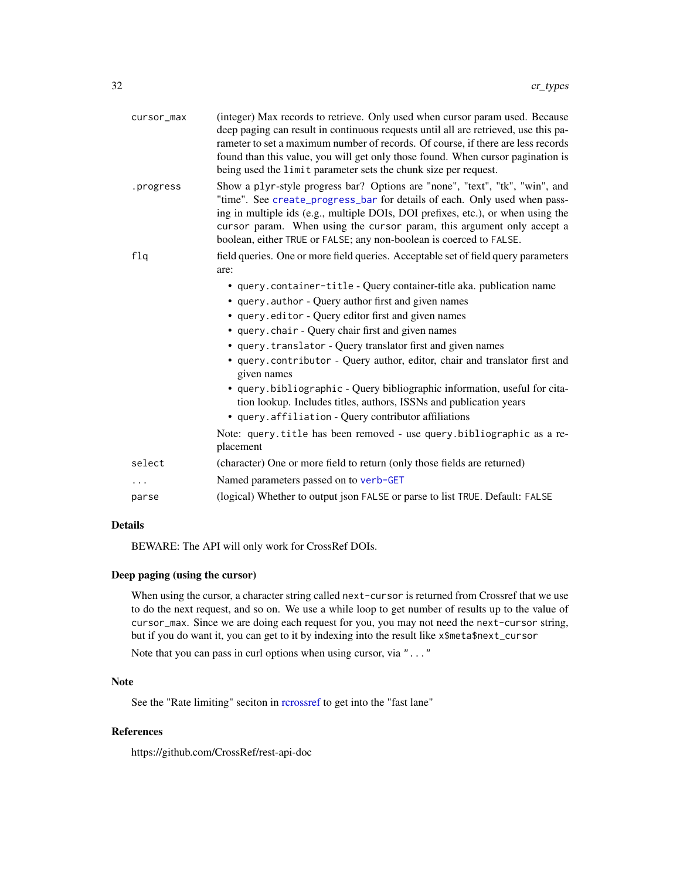<span id="page-31-0"></span>

| cursor_max | (integer) Max records to retrieve. Only used when cursor param used. Because<br>deep paging can result in continuous requests until all are retrieved, use this pa-<br>rameter to set a maximum number of records. Of course, if there are less records<br>found than this value, you will get only those found. When cursor pagination is<br>being used the limit parameter sets the chunk size per request. |
|------------|---------------------------------------------------------------------------------------------------------------------------------------------------------------------------------------------------------------------------------------------------------------------------------------------------------------------------------------------------------------------------------------------------------------|
| .progress  | Show a plyr-style progress bar? Options are "none", "text", "tk", "win", and<br>"time". See create_progress_bar for details of each. Only used when pass-<br>ing in multiple ids (e.g., multiple DOIs, DOI prefixes, etc.), or when using the<br>cursor param. When using the cursor param, this argument only accept a<br>boolean, either TRUE or FALSE; any non-boolean is coerced to FALSE.                |
| f1q        | field queries. One or more field queries. Acceptable set of field query parameters<br>are:                                                                                                                                                                                                                                                                                                                    |
|            | • query.container-title - Query container-title aka. publication name                                                                                                                                                                                                                                                                                                                                         |
|            | • query.author - Query author first and given names                                                                                                                                                                                                                                                                                                                                                           |
|            | · query.editor - Query editor first and given names                                                                                                                                                                                                                                                                                                                                                           |
|            | • query.chair - Query chair first and given names                                                                                                                                                                                                                                                                                                                                                             |
|            | • query.translator - Query translator first and given names                                                                                                                                                                                                                                                                                                                                                   |
|            | • query.contributor - Query author, editor, chair and translator first and<br>given names                                                                                                                                                                                                                                                                                                                     |
|            | • query.bibliographic - Query bibliographic information, useful for cita-<br>tion lookup. Includes titles, authors, ISSNs and publication years<br>• query.affiliation - Query contributor affiliations                                                                                                                                                                                                       |
|            | Note: query.title has been removed - use query.bibliographic as a re-<br>placement                                                                                                                                                                                                                                                                                                                            |
| select     | (character) One or more field to return (only those fields are returned)                                                                                                                                                                                                                                                                                                                                      |
| .          | Named parameters passed on to verb-GET                                                                                                                                                                                                                                                                                                                                                                        |
| parse      | (logical) Whether to output json FALSE or parse to list TRUE. Default: FALSE                                                                                                                                                                                                                                                                                                                                  |
|            |                                                                                                                                                                                                                                                                                                                                                                                                               |

# Details

BEWARE: The API will only work for CrossRef DOIs.

# Deep paging (using the cursor)

When using the cursor, a character string called next-cursor is returned from Crossref that we use to do the next request, and so on. We use a while loop to get number of results up to the value of cursor\_max. Since we are doing each request for you, you may not need the next-cursor string, but if you do want it, you can get to it by indexing into the result like x\$meta\$next\_cursor

Note that you can pass in curl options when using cursor, via "..."

#### Note

See the "Rate limiting" seciton in [rcrossref](#page-1-1) to get into the "fast lane"

# References

https://github.com/CrossRef/rest-api-doc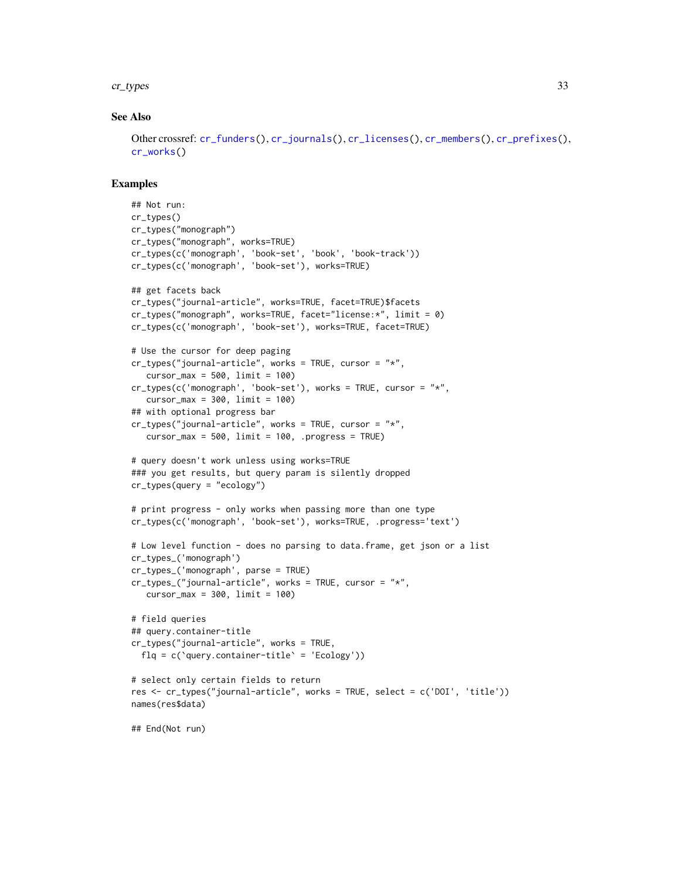#### <span id="page-32-0"></span>cr\_types 33

#### See Also

```
Other crossref: cr_funders(), cr_journals(), cr_licenses(), cr_members(), cr_prefixes(),
cr_works()
```

```
## Not run:
cr_types()
cr_types("monograph")
cr_types("monograph", works=TRUE)
cr_types(c('monograph', 'book-set', 'book', 'book-track'))
cr_types(c('monograph', 'book-set'), works=TRUE)
## get facets back
cr_types("journal-article", works=TRUE, facet=TRUE)$facets
cr_types("monograph", works=TRUE, facet="license:*", limit = 0)
cr_types(c('monograph', 'book-set'), works=TRUE, facet=TRUE)
# Use the cursor for deep paging
cr_types("journal-article", works = TRUE, cursor = "*",
   cursor_max = 500, limit = 100)
cr_types(c('monograph', 'book-set'), works = TRUE, cursor = "*",
  cursor_max = 300, limit = 100)
## with optional progress bar
cr_types("journal-article", works = TRUE, cursor = "*",
   cursor_max = 500, limit = 100, .progress = TRUE)
# query doesn't work unless using works=TRUE
### you get results, but query param is silently dropped
cr_types(query = "ecology")
# print progress - only works when passing more than one type
cr_types(c('monograph', 'book-set'), works=TRUE, .progress='text')
# Low level function - does no parsing to data.frame, get json or a list
cr_types_('monograph')
cr_types_('monograph', parse = TRUE)
cr_types_("journal-article", works = TRUE, cursor = "*",
   cursor_max = 300, limit = 100# field queries
## query.container-title
cr_types("journal-article", works = TRUE,
 flq = c('query.contriber-title' = 'Ecology'))# select only certain fields to return
res <- cr_types("journal-article", works = TRUE, select = c('DOI', 'title'))
names(res$data)
## End(Not run)
```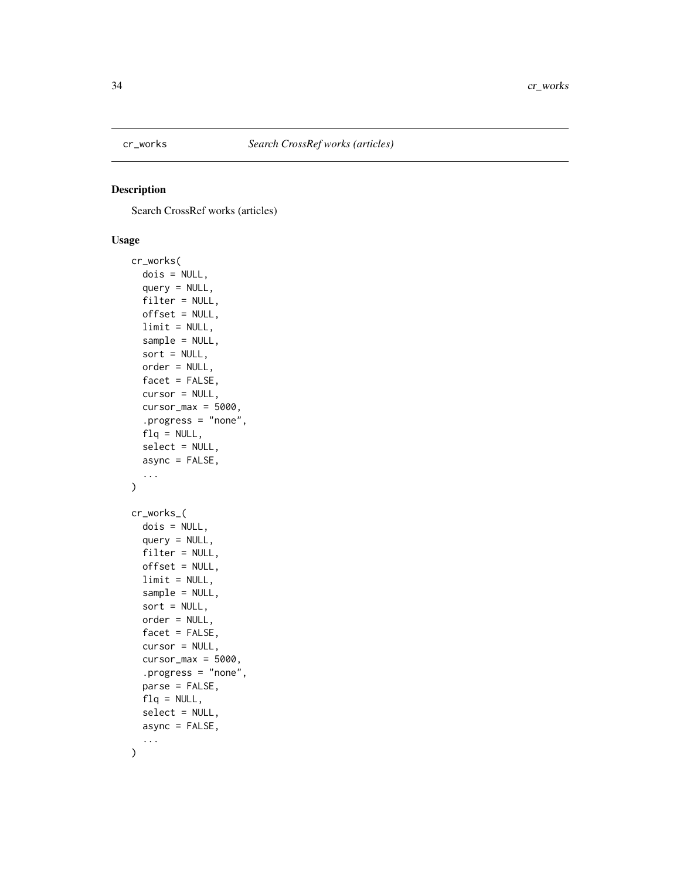<span id="page-33-1"></span><span id="page-33-0"></span>

# <span id="page-33-2"></span>Description

Search CrossRef works (articles)

# Usage

```
cr_works(
  dois = NULL,
  query = NULL,
  filter = NULL,
  offset = NULL,
  limit = NULL,
  sample = NULL,
  sort = NULL,order = NULL,
  facet = FALSE,cursor = NULL,
  cursor_max = 5000,.progress = "none",
  flq = NULL,select = NULL,
  async = FALSE,
  ...
\mathcal{L}cr_works_(
  dois = NULL,query = NULL,
  filter = NULL,
  offset = NULL,limit = NULL,
  sample = NULL,
  sort = NULL,order = NULL,
  facet = FALSE,cursor = NULL,
  cursor_max = 5000,.progress = "none",
  parse = FALSE,
  flq = NULL,select = NULL,
  async = FALSE,
  ...
\mathcal{L}
```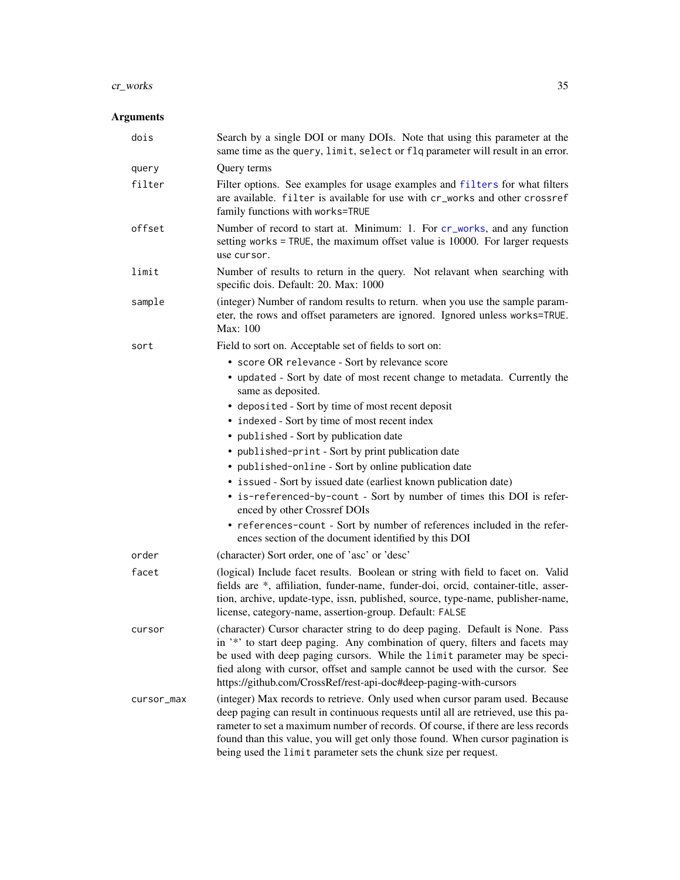#### <span id="page-34-0"></span>cr\_works 35

# Arguments

| dois       | Search by a single DOI or many DOIs. Note that using this parameter at the<br>same time as the query, limit, select or flq parameter will result in an error.                                                                                                                                                                                                                                                 |
|------------|---------------------------------------------------------------------------------------------------------------------------------------------------------------------------------------------------------------------------------------------------------------------------------------------------------------------------------------------------------------------------------------------------------------|
| query      | Query terms                                                                                                                                                                                                                                                                                                                                                                                                   |
| filter     | Filter options. See examples for usage examples and filters for what filters<br>are available. filter is available for use with cr_works and other crossref<br>family functions with works=TRUE                                                                                                                                                                                                               |
| offset     | Number of record to start at. Minimum: 1. For cr_works, and any function<br>setting works = TRUE, the maximum offset value is 10000. For larger requests<br>use cursor.                                                                                                                                                                                                                                       |
| limit      | Number of results to return in the query. Not relavant when searching with<br>specific dois. Default: 20. Max: 1000                                                                                                                                                                                                                                                                                           |
| sample     | (integer) Number of random results to return. when you use the sample param-<br>eter, the rows and offset parameters are ignored. Ignored unless works=TRUE.<br>Max: 100                                                                                                                                                                                                                                      |
| sort       | Field to sort on. Acceptable set of fields to sort on:                                                                                                                                                                                                                                                                                                                                                        |
|            | • score OR relevance - Sort by relevance score                                                                                                                                                                                                                                                                                                                                                                |
|            | • updated - Sort by date of most recent change to metadata. Currently the<br>same as deposited.                                                                                                                                                                                                                                                                                                               |
|            | • deposited - Sort by time of most recent deposit                                                                                                                                                                                                                                                                                                                                                             |
|            | • indexed - Sort by time of most recent index                                                                                                                                                                                                                                                                                                                                                                 |
|            | • published - Sort by publication date                                                                                                                                                                                                                                                                                                                                                                        |
|            | • published-print - Sort by print publication date                                                                                                                                                                                                                                                                                                                                                            |
|            | • published-online - Sort by online publication date                                                                                                                                                                                                                                                                                                                                                          |
|            | • issued - Sort by issued date (earliest known publication date)                                                                                                                                                                                                                                                                                                                                              |
|            | • is-referenced-by-count - Sort by number of times this DOI is refer-<br>enced by other Crossref DOIs                                                                                                                                                                                                                                                                                                         |
|            | • references-count - Sort by number of references included in the refer-<br>ences section of the document identified by this DOI                                                                                                                                                                                                                                                                              |
| order      | (character) Sort order, one of 'asc' or 'desc'                                                                                                                                                                                                                                                                                                                                                                |
| facet      | (logical) Include facet results. Boolean or string with field to facet on. Valid<br>fields are *, affiliation, funder-name, funder-doi, orcid, container-title, asser-<br>tion, archive, update-type, issn, published, source, type-name, publisher-name,<br>license, category-name, assertion-group. Default: FALSE                                                                                          |
| cursor     | (character) Cursor character string to do deep paging. Default is None. Pass<br>in '*' to start deep paging. Any combination of query, filters and facets may<br>be used with deep paging cursors. While the limit parameter may be speci-<br>fied along with cursor, offset and sample cannot be used with the cursor. See<br>https://github.com/CrossRef/rest-api-doc#deep-paging-with-cursors              |
| cursor_max | (integer) Max records to retrieve. Only used when cursor param used. Because<br>deep paging can result in continuous requests until all are retrieved, use this pa-<br>rameter to set a maximum number of records. Of course, if there are less records<br>found than this value, you will get only those found. When cursor pagination is<br>being used the limit parameter sets the chunk size per request. |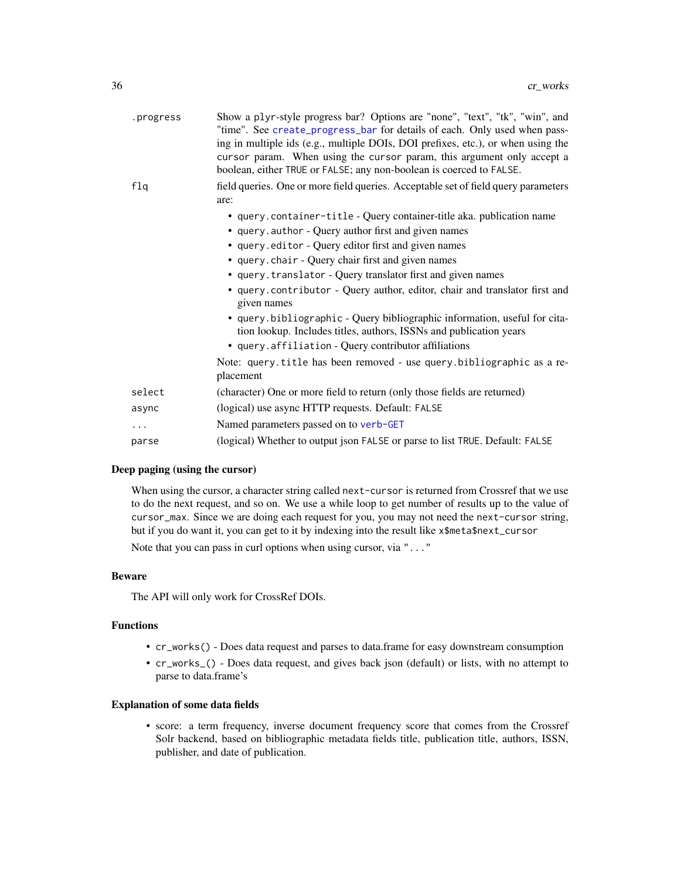<span id="page-35-0"></span>

| .progress | Show a plyr-style progress bar? Options are "none", "text", "tk", "win", and<br>"time". See create_progress_bar for details of each. Only used when pass-<br>ing in multiple ids (e.g., multiple DOIs, DOI prefixes, etc.), or when using the<br>cursor param. When using the cursor param, this argument only accept a<br>boolean, either TRUE or FALSE; any non-boolean is coerced to FALSE. |
|-----------|------------------------------------------------------------------------------------------------------------------------------------------------------------------------------------------------------------------------------------------------------------------------------------------------------------------------------------------------------------------------------------------------|
| f1q       | field queries. One or more field queries. Acceptable set of field query parameters<br>are:                                                                                                                                                                                                                                                                                                     |
|           | • query.container-title - Query container-title aka. publication name                                                                                                                                                                                                                                                                                                                          |
|           | • query.author - Query author first and given names                                                                                                                                                                                                                                                                                                                                            |
|           | • query.editor - Query editor first and given names                                                                                                                                                                                                                                                                                                                                            |
|           | • query.chair - Query chair first and given names                                                                                                                                                                                                                                                                                                                                              |
|           | • query. translator - Query translator first and given names                                                                                                                                                                                                                                                                                                                                   |
|           | • query.contributor - Query author, editor, chair and translator first and<br>given names                                                                                                                                                                                                                                                                                                      |
|           | • query.bibliographic - Query bibliographic information, useful for cita-<br>tion lookup. Includes titles, authors, ISSNs and publication years                                                                                                                                                                                                                                                |
|           | • query.affiliation - Query contributor affiliations                                                                                                                                                                                                                                                                                                                                           |
|           | Note: query.title has been removed - use query.bibliographic as a re-<br>placement                                                                                                                                                                                                                                                                                                             |
| select    | (character) One or more field to return (only those fields are returned)                                                                                                                                                                                                                                                                                                                       |
| async     | (logical) use async HTTP requests. Default: FALSE                                                                                                                                                                                                                                                                                                                                              |
| .         | Named parameters passed on to verb-GET                                                                                                                                                                                                                                                                                                                                                         |
| parse     | (logical) Whether to output json FALSE or parse to list TRUE. Default: FALSE                                                                                                                                                                                                                                                                                                                   |

# Deep paging (using the cursor)

When using the cursor, a character string called next-cursor is returned from Crossref that we use to do the next request, and so on. We use a while loop to get number of results up to the value of cursor\_max. Since we are doing each request for you, you may not need the next-cursor string, but if you do want it, you can get to it by indexing into the result like x\$meta\$next\_cursor

Note that you can pass in curl options when using cursor, via "..."

#### Beware

The API will only work for CrossRef DOIs.

#### Functions

- cr\_works() Does data request and parses to data.frame for easy downstream consumption
- cr\_works\_() Does data request, and gives back json (default) or lists, with no attempt to parse to data.frame's

#### Explanation of some data fields

• score: a term frequency, inverse document frequency score that comes from the Crossref Solr backend, based on bibliographic metadata fields title, publication title, authors, ISSN, publisher, and date of publication.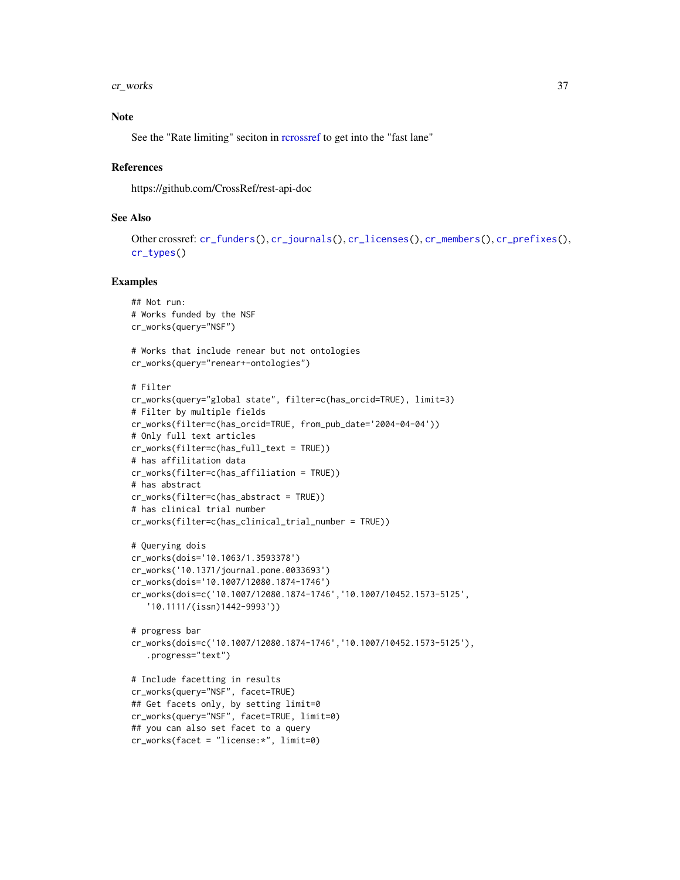<span id="page-36-0"></span>cr\_works 37

# Note

See the "Rate limiting" seciton in [rcrossref](#page-1-1) to get into the "fast lane"

#### References

https://github.com/CrossRef/rest-api-doc

#### See Also

```
Other crossref: cr_funders(), cr_journals(), cr_licenses(), cr_members(), cr_prefixes(),
cr_types()
```

```
## Not run:
# Works funded by the NSF
cr_works(query="NSF")
# Works that include renear but not ontologies
cr_works(query="renear+-ontologies")
# Filter
cr_works(query="global state", filter=c(has_orcid=TRUE), limit=3)
# Filter by multiple fields
cr_works(filter=c(has_orcid=TRUE, from_pub_date='2004-04-04'))
# Only full text articles
cr_works(filter=c(has_full_text = TRUE))
# has affilitation data
cr_works(filter=c(has_affiliation = TRUE))
# has abstract
cr_works(filter=c(has_abstract = TRUE))
# has clinical trial number
cr_works(filter=c(has_clinical_trial_number = TRUE))
# Querying dois
cr_works(dois='10.1063/1.3593378')
cr_works('10.1371/journal.pone.0033693')
cr_works(dois='10.1007/12080.1874-1746')
cr_works(dois=c('10.1007/12080.1874-1746','10.1007/10452.1573-5125',
   '10.1111/(issn)1442-9993'))
# progress bar
cr_works(dois=c('10.1007/12080.1874-1746','10.1007/10452.1573-5125'),
   .progress="text")
# Include facetting in results
cr_works(query="NSF", facet=TRUE)
## Get facets only, by setting limit=0
cr_works(query="NSF", facet=TRUE, limit=0)
## you can also set facet to a query
cr_works(facet = "license:*", limit=0)
```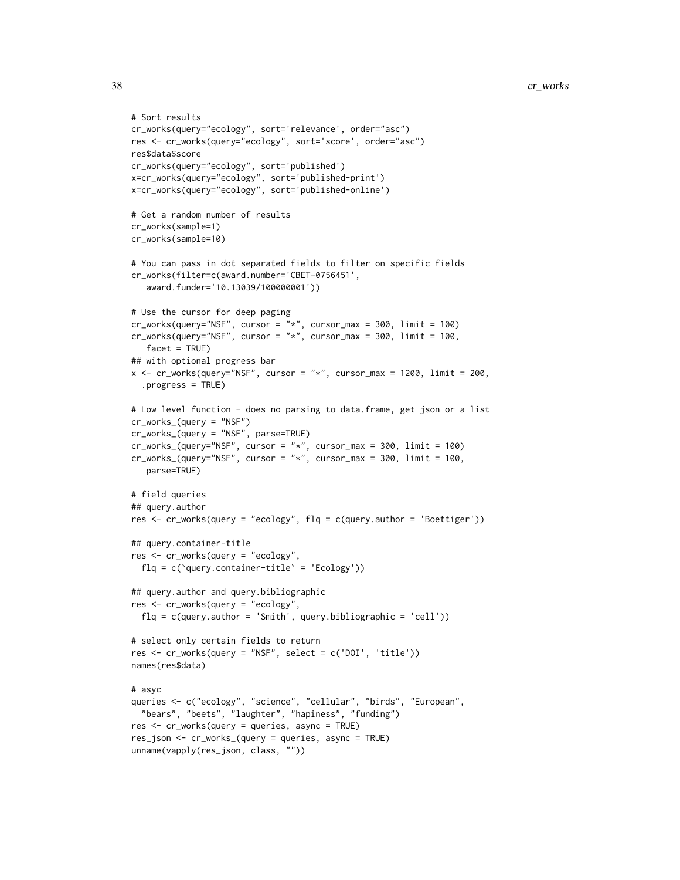```
# Sort results
cr_works(query="ecology", sort='relevance', order="asc")
res <- cr_works(query="ecology", sort='score', order="asc")
res$data$score
cr_works(query="ecology", sort='published')
x=cr_works(query="ecology", sort='published-print')
x=cr_works(query="ecology", sort='published-online')
# Get a random number of results
cr_works(sample=1)
cr_works(sample=10)
# You can pass in dot separated fields to filter on specific fields
cr_works(filter=c(award.number='CBET-0756451',
   award.funder='10.13039/100000001'))
# Use the cursor for deep paging
cr_works(query="NSF", cursor = "*", cursor_max = 300, limit = 100)cr_works(query="NSF", cursor = "*", cursor_max = 300, limit = 100,facet = TRUE)
## with optional progress bar
x \leq -cr_works(query="NSF", cursor = "*", cursor_max = 1200, limit = 200,.progress = TRUE)
# Low level function - does no parsing to data.frame, get json or a list
cr_works_(query = "NSF")
cr_works_(query = "NSF", parse=TRUE)
cr_works_ (query="NSF", cursor = "*", cursor_max = 300, limit = 100)cr_works_ (query="NSF", cursor = "*", cursor_max = 300, limit = 100,parse=TRUE)
# field queries
## query.author
res <- cr_works(query = "ecology", flq = c(query.author = 'Boettiger'))
## query.container-title
res <- cr_works(query = "ecology",
  flq = c(`query.container-title` = 'Ecology'))
## query.author and query.bibliographic
res <- cr_works(query = "ecology",
  flq = c(query.author = 'Smith', query.bibliographic = 'cell'))
# select only certain fields to return
res <- cr_works(query = "NSF", select = c('DOI', 'title'))
names(res$data)
# asyc
queries <- c("ecology", "science", "cellular", "birds", "European",
  "bears", "beets", "laughter", "hapiness", "funding")
res <- cr_works(query = queries, async = TRUE)
res_json <- cr_works_(query = queries, async = TRUE)
unname(vapply(res_json, class, ""))
```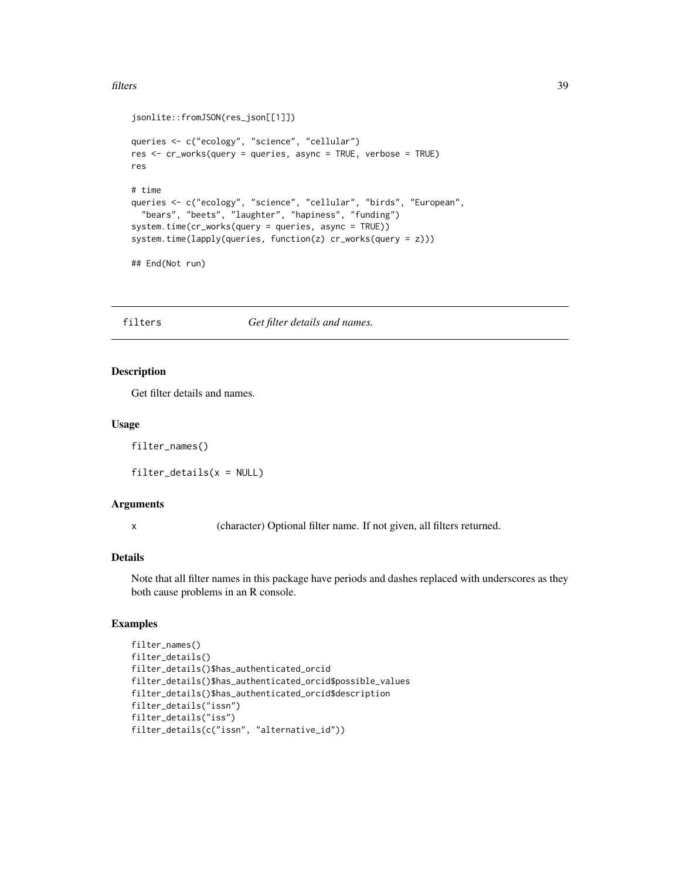#### <span id="page-38-0"></span>filters 39

```
jsonlite::fromJSON(res_json[[1]])
queries <- c("ecology", "science", "cellular")
res <- cr_works(query = queries, async = TRUE, verbose = TRUE)
res
# time
queries <- c("ecology", "science", "cellular", "birds", "European",
  "bears", "beets", "laughter", "hapiness", "funding")
system.time(cr_works(query = queries, async = TRUE))
system.time(lapply(queries, function(z) cr_works(query = z)))
## End(Not run)
```
<span id="page-38-1"></span>filters *Get filter details and names.*

#### Description

Get filter details and names.

#### Usage

filter\_names()

filter\_details(x = NULL)

#### Arguments

x (character) Optional filter name. If not given, all filters returned.

#### Details

Note that all filter names in this package have periods and dashes replaced with underscores as they both cause problems in an R console.

```
filter_names()
filter_details()
filter_details()$has_authenticated_orcid
filter_details()$has_authenticated_orcid$possible_values
filter_details()$has_authenticated_orcid$description
filter_details("issn")
filter_details("iss")
filter_details(c("issn", "alternative_id"))
```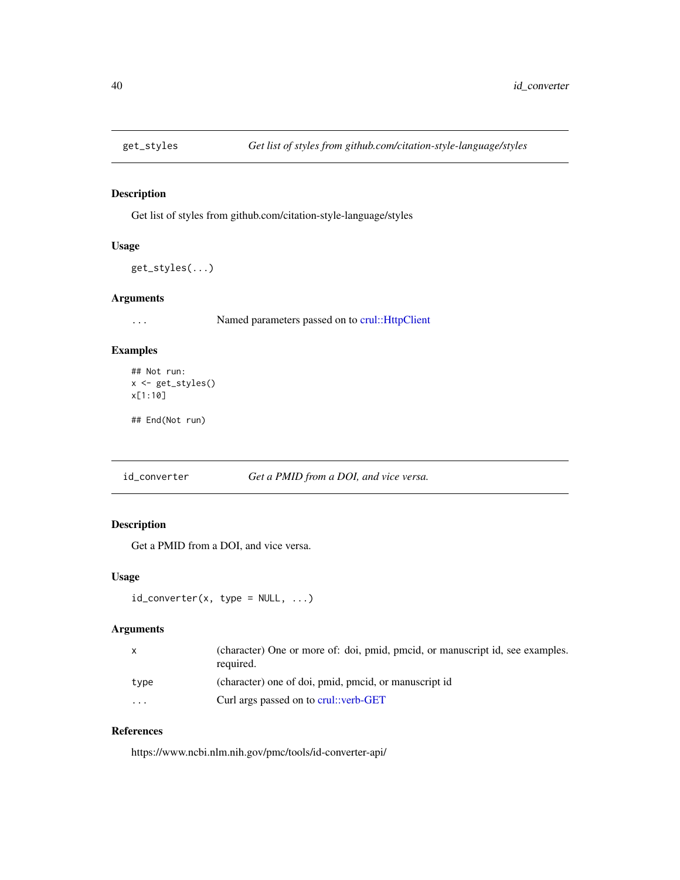<span id="page-39-1"></span><span id="page-39-0"></span>

# Description

Get list of styles from github.com/citation-style-language/styles

#### Usage

get\_styles(...)

#### Arguments

... Named parameters passed on to [crul::HttpClient](#page-0-0)

#### Examples

```
## Not run:
x <- get_styles()
x[1:10]
```
## End(Not run)

<span id="page-39-2"></span>id\_converter *Get a PMID from a DOI, and vice versa.*

# Description

Get a PMID from a DOI, and vice versa.

#### Usage

```
id\_converter(x, type = NULL, ...)
```
# Arguments

| X        | (character) One or more of: doi, pmid, pmcid, or manuscript id, see examples.<br>required. |
|----------|--------------------------------------------------------------------------------------------|
| tvpe     | (character) one of doi, pmid, pmcid, or manuscript id                                      |
| $\cdots$ | Curl args passed on to crul::verb-GET                                                      |

# References

https://www.ncbi.nlm.nih.gov/pmc/tools/id-converter-api/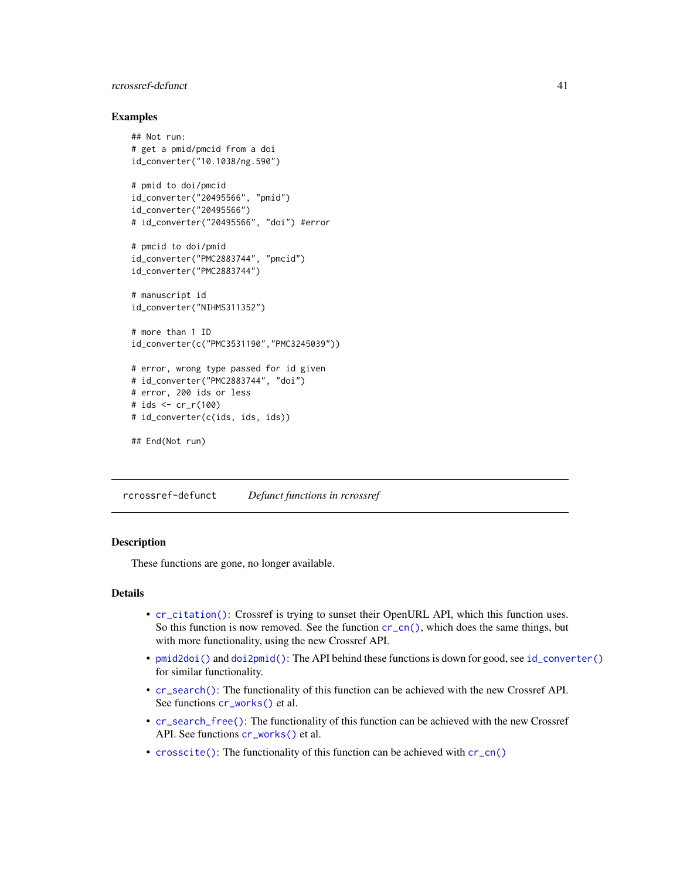# <span id="page-40-0"></span>rcrossref-defunct 41

#### Examples

```
## Not run:
# get a pmid/pmcid from a doi
id_converter("10.1038/ng.590")
# pmid to doi/pmcid
id_converter("20495566", "pmid")
id_converter("20495566")
# id_converter("20495566", "doi") #error
# pmcid to doi/pmid
id_converter("PMC2883744", "pmcid")
id_converter("PMC2883744")
# manuscript id
id_converter("NIHMS311352")
# more than 1 ID
id_converter(c("PMC3531190","PMC3245039"))
# error, wrong type passed for id given
# id_converter("PMC2883744", "doi")
# error, 200 ids or less
# ids <- cr_r(100)
# id_converter(c(ids, ids, ids))
## End(Not run)
```
<span id="page-40-1"></span>rcrossref-defunct *Defunct functions in rcrossref*

#### Description

These functions are gone, no longer available.

# Details

- [cr\\_citation\(\)](#page-0-0): Crossref is trying to sunset their OpenURL API, which this function uses. So this function is now removed. See the function  $cr\_{cn}()$ , which does the same things, but with more functionality, using the new Crossref API.
- [pmid2doi\(\)](#page-0-0) and [doi2pmid\(\)](#page-0-0): The API behind these functions is down for good, see [id\\_converter\(\)](#page-39-2) for similar functionality.
- [cr\\_search\(\)](#page-0-0): The functionality of this function can be achieved with the new Crossref API. See functions  $cr_$ works() et al.
- [cr\\_search\\_free\(\)](#page-0-0): The functionality of this function can be achieved with the new Crossref API. See functions [cr\\_works\(\)](#page-33-1) et al.
- [crosscite\(\)](#page-0-0): The functionality of this function can be achieved with [cr\\_cn\(\)](#page-6-1)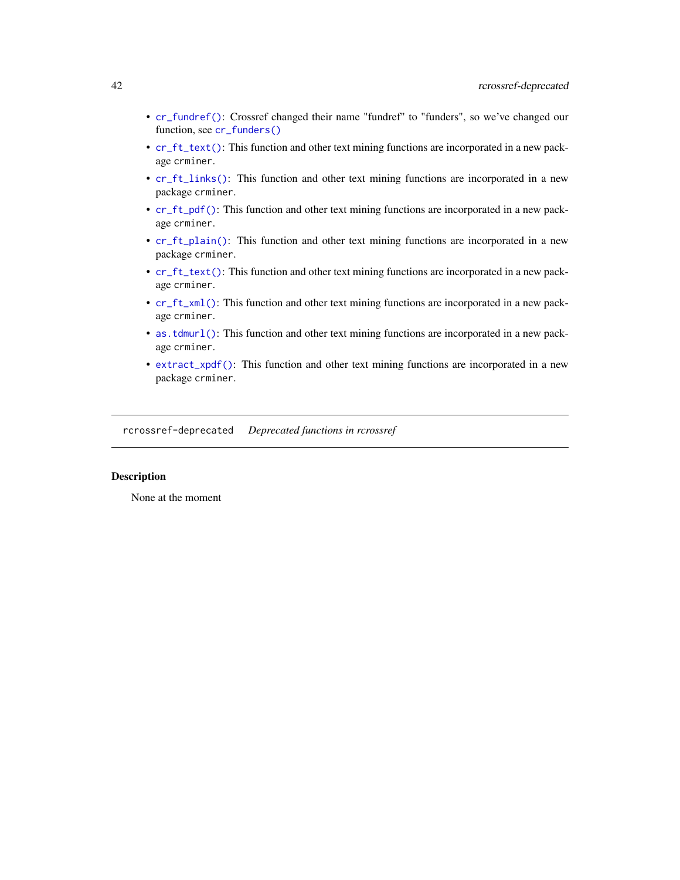- <span id="page-41-0"></span>• [cr\\_fundref\(\)](#page-0-0): Crossref changed their name "fundref" to "funders", so we've changed our function, see [cr\\_funders\(\)](#page-9-1)
- [cr\\_ft\\_text\(\)](#page-0-0): This function and other text mining functions are incorporated in a new package crminer.
- [cr\\_ft\\_links\(\)](#page-0-0): This function and other text mining functions are incorporated in a new package crminer.
- [cr\\_ft\\_pdf\(\)](#page-0-0): This function and other text mining functions are incorporated in a new package crminer.
- [cr\\_ft\\_plain\(\)](#page-0-0): This function and other text mining functions are incorporated in a new package crminer.
- [cr\\_ft\\_text\(\)](#page-0-0): This function and other text mining functions are incorporated in a new package crminer.
- [cr\\_ft\\_xml\(\)](#page-0-0): This function and other text mining functions are incorporated in a new package crminer.
- [as.tdmurl\(\)](#page-0-0): This function and other text mining functions are incorporated in a new package crminer.
- [extract\\_xpdf\(\)](#page-0-0): This function and other text mining functions are incorporated in a new package crminer.

<span id="page-41-1"></span>rcrossref-deprecated *Deprecated functions in rcrossref*

## Description

None at the moment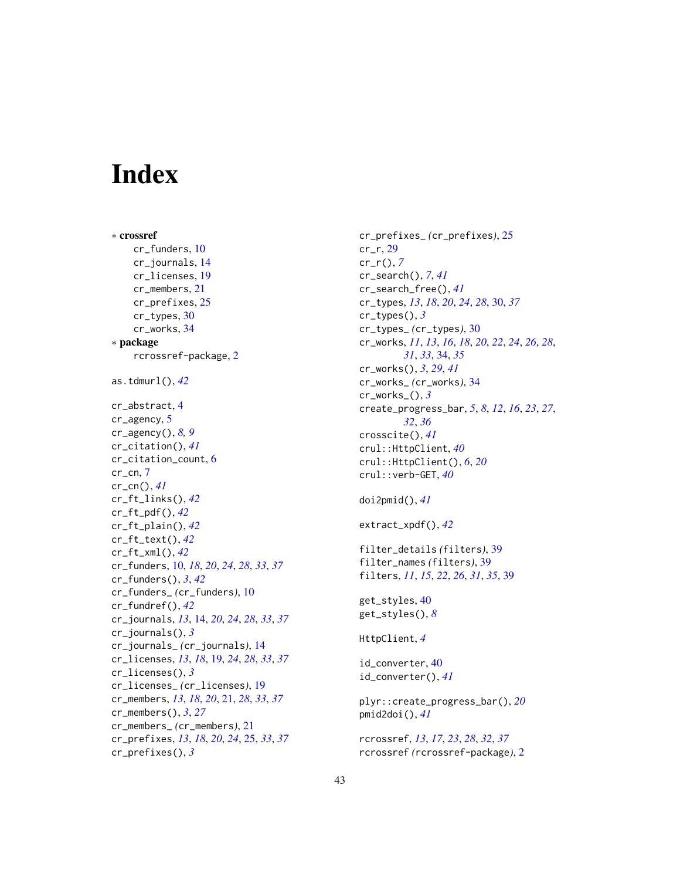# <span id="page-42-0"></span>**Index**

∗ crossref cr\_funders, [10](#page-9-0) cr\_journals, [14](#page-13-0) cr\_licenses, [19](#page-18-0) cr\_members, [21](#page-20-0) cr\_prefixes, [25](#page-24-0) cr\_types, [30](#page-29-0) cr\_works, [34](#page-33-0) ∗ package rcrossref-package, [2](#page-1-0) as.tdmurl(), *[42](#page-41-0)* cr\_abstract, [4](#page-3-0) cr\_agency, [5](#page-4-0) cr\_agency(), *[8,](#page-7-0) [9](#page-8-0)* cr\_citation(), *[41](#page-40-0)* cr\_citation\_count, [6](#page-5-0)  $cr$ <sub>cr\_cn</sub>,  $7$ cr\_cn(), *[41](#page-40-0)* cr\_ft\_links(), *[42](#page-41-0)* cr\_ft\_pdf(), *[42](#page-41-0)* cr\_ft\_plain(), *[42](#page-41-0)* cr\_ft\_text(), *[42](#page-41-0)* cr\_ft\_xml(), *[42](#page-41-0)* cr\_funders, [10,](#page-9-0) *[18](#page-17-0)*, *[20](#page-19-0)*, *[24](#page-23-0)*, *[28](#page-27-0)*, *[33](#page-32-0)*, *[37](#page-36-0)* cr\_funders(), *[3](#page-2-0)*, *[42](#page-41-0)* cr\_funders\_ *(*cr\_funders*)*, [10](#page-9-0) cr\_fundref(), *[42](#page-41-0)* cr\_journals, *[13](#page-12-0)*, [14,](#page-13-0) *[20](#page-19-0)*, *[24](#page-23-0)*, *[28](#page-27-0)*, *[33](#page-32-0)*, *[37](#page-36-0)* cr\_journals(), *[3](#page-2-0)* cr\_journals\_ *(*cr\_journals*)*, [14](#page-13-0) cr\_licenses, *[13](#page-12-0)*, *[18](#page-17-0)*, [19,](#page-18-0) *[24](#page-23-0)*, *[28](#page-27-0)*, *[33](#page-32-0)*, *[37](#page-36-0)* cr\_licenses(), *[3](#page-2-0)* cr\_licenses\_ *(*cr\_licenses*)*, [19](#page-18-0) cr\_members, *[13](#page-12-0)*, *[18](#page-17-0)*, *[20](#page-19-0)*, [21,](#page-20-0) *[28](#page-27-0)*, *[33](#page-32-0)*, *[37](#page-36-0)* cr\_members(), *[3](#page-2-0)*, *[27](#page-26-0)* cr\_members\_ *(*cr\_members*)*, [21](#page-20-0) cr\_prefixes, *[13](#page-12-0)*, *[18](#page-17-0)*, *[20](#page-19-0)*, *[24](#page-23-0)*, [25,](#page-24-0) *[33](#page-32-0)*, *[37](#page-36-0)* cr\_prefixes(), *[3](#page-2-0)*

cr\_prefixes\_ *(*cr\_prefixes*)*, [25](#page-24-0) cr\_r, [29](#page-28-0) cr\_r(), *[7](#page-6-0)* cr\_search(), *[7](#page-6-0)*, *[41](#page-40-0)* cr\_search\_free(), *[41](#page-40-0)* cr\_types, *[13](#page-12-0)*, *[18](#page-17-0)*, *[20](#page-19-0)*, *[24](#page-23-0)*, *[28](#page-27-0)*, [30,](#page-29-0) *[37](#page-36-0)* cr\_types(), *[3](#page-2-0)* cr\_types\_ *(*cr\_types*)*, [30](#page-29-0) cr\_works, *[11](#page-10-0)*, *[13](#page-12-0)*, *[16](#page-15-0)*, *[18](#page-17-0)*, *[20](#page-19-0)*, *[22](#page-21-0)*, *[24](#page-23-0)*, *[26](#page-25-0)*, *[28](#page-27-0)*, *[31](#page-30-0)*, *[33](#page-32-0)*, [34,](#page-33-0) *[35](#page-34-0)* cr\_works(), *[3](#page-2-0)*, *[29](#page-28-0)*, *[41](#page-40-0)* cr\_works\_ *(*cr\_works*)*, [34](#page-33-0) cr\_works\_(), *[3](#page-2-0)* create\_progress\_bar, *[5](#page-4-0)*, *[8](#page-7-0)*, *[12](#page-11-0)*, *[16](#page-15-0)*, *[23](#page-22-0)*, *[27](#page-26-0)*, *[32](#page-31-0)*, *[36](#page-35-0)* crosscite(), *[41](#page-40-0)* crul::HttpClient, *[40](#page-39-0)* crul::HttpClient(), *[6](#page-5-0)*, *[20](#page-19-0)* crul::verb-GET, *[40](#page-39-0)* doi2pmid(), *[41](#page-40-0)* extract\_xpdf(), *[42](#page-41-0)* filter\_details *(*filters*)*, [39](#page-38-0) filter\_names *(*filters*)*, [39](#page-38-0) filters, *[11](#page-10-0)*, *[15](#page-14-0)*, *[22](#page-21-0)*, *[26](#page-25-0)*, *[31](#page-30-0)*, *[35](#page-34-0)*, [39](#page-38-0) get\_styles, [40](#page-39-0) get\_styles(), *[8](#page-7-0)* HttpClient, *[4](#page-3-0)* id\_converter, [40](#page-39-0) id\_converter(), *[41](#page-40-0)* plyr::create\_progress\_bar(), *[20](#page-19-0)* pmid2doi(), *[41](#page-40-0)* rcrossref, *[13](#page-12-0)*, *[17](#page-16-0)*, *[23](#page-22-0)*, *[28](#page-27-0)*, *[32](#page-31-0)*, *[37](#page-36-0)* rcrossref *(*rcrossref-package*)*, [2](#page-1-0)